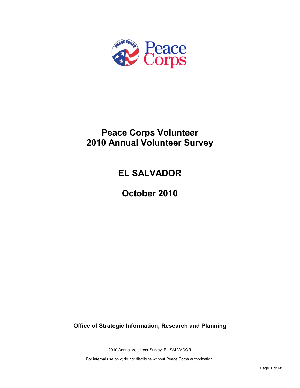

## **Peace Corps Volunteer 2010 Annual Volunteer Survey**

# **EL SALVADOR**

**October 2010**

**Office of Strategic Information, Research and Planning**

2010 Annual Volunteer Survey: EL SALVADOR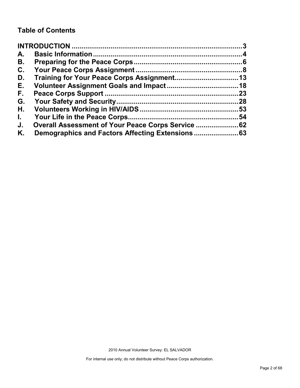## **Table of Contents**

| A.           |                                                |     |
|--------------|------------------------------------------------|-----|
| В.           |                                                |     |
| C.           |                                                |     |
| D.           |                                                |     |
| Е.           |                                                |     |
| F.,          |                                                | .23 |
| G.           |                                                | .28 |
| Н.           |                                                |     |
| $\mathbf{L}$ |                                                | 54  |
| J.           | Overall Assessment of Your Peace Corps Service |     |
| Κ.           |                                                |     |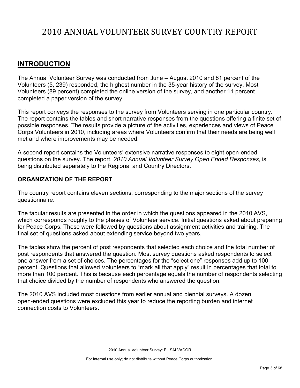## <span id="page-2-0"></span>**INTRODUCTION**

The Annual Volunteer Survey was conducted from June – August 2010 and 81 percent of the Volunteers (5, 239) responded, the highest number in the 35-year history of the survey. Most Volunteers (89 percent) completed the online version of the survey, and another 11 percent completed a paper version of the survey.

This report conveys the responses to the survey from Volunteers serving in one particular country. The report contains the tables and short narrative responses from the questions offering a finite set of possible responses. The results provide a picture of the activities, experiences and views of Peace Corps Volunteers in 2010, including areas where Volunteers confirm that their needs are being well met and where improvements may be needed.

A second report contains the Volunteers' extensive narrative responses to eight open-ended questions on the survey. The report, *2010 Annual Volunteer Survey Open Ended Responses,* is being distributed separately to the Regional and Country Directors.

## **ORGANIZATION OF THE REPORT**

The country report contains eleven sections, corresponding to the major sections of the survey questionnaire.

The tabular results are presented in the order in which the questions appeared in the 2010 AVS, which corresponds roughly to the phases of Volunteer service. Initial questions asked about preparing for Peace Corps. These were followed by questions about assignment activities and training. The final set of questions asked about extending service beyond two years.

The tables show the percent of post respondents that selected each choice and the total number of post respondents that answered the question. Most survey questions asked respondents to select one answer from a set of choices. The percentages for the "select one" responses add up to 100 percent. Questions that allowed Volunteers to "mark all that apply" result in percentages that total to more than 100 percent. This is because each percentage equals the number of respondents selecting that choice divided by the number of respondents who answered the question.

The 2010 AVS included most questions from earlier annual and biennial surveys. A dozen open-ended questions were excluded this year to reduce the reporting burden and internet connection costs to Volunteers.

2010 Annual Volunteer Survey: EL SALVADOR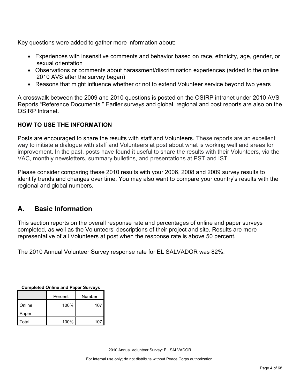Key questions were added to gather more information about:

- Experiences with insensitive comments and behavior based on race, ethnicity, age, gender, or sexual orientation
- Observations or comments about harassment/discrimination experiences (added to the online 2010 AVS after the survey began)
- Reasons that might influence whether or not to extend Volunteer service beyond two years

A crosswalk between the 2009 and 2010 questions is posted on the OSIRP intranet under 2010 AVS Reports "Reference Documents." Earlier surveys and global, regional and post reports are also on the OSIRP Intranet.

## **HOW TO USE THE INFORMATION**

Posts are encouraged to share the results with staff and Volunteers. These reports are an excellent way to initiate a dialogue with staff and Volunteers at post about what is working well and areas for improvement. In the past, posts have found it useful to share the results with their Volunteers, via the VAC, monthly newsletters, summary bulletins, and presentations at PST and IST.

Please consider comparing these 2010 results with your 2006, 2008 and 2009 survey results to identify trends and changes over time. You may also want to compare your country's results with the regional and global numbers.

## <span id="page-3-0"></span>**A. Basic Information**

This section reports on the overall response rate and percentages of online and paper surveys completed, as well as the Volunteers' descriptions of their project and site. Results are more representative of all Volunteers at post when the response rate is above 50 percent.

The 2010 Annual Volunteer Survey response rate for EL SALVADOR was 82%.

| Completed Online and Paper Surveys |      |     |  |
|------------------------------------|------|-----|--|
| Number<br>Percent                  |      |     |  |
| Online                             | 100% | 107 |  |
| Paper                              |      |     |  |
| Total                              | 100% | 107 |  |

**Completed Online and Paper Surveys**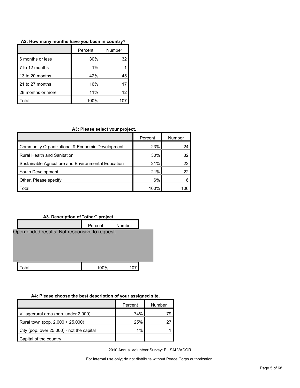|                   | Percent | Number |
|-------------------|---------|--------|
| 6 months or less  | 30%     | 32     |
| 7 to 12 months    | 1%      |        |
| 13 to 20 months   | 42%     | 45     |
| 21 to 27 months   | 16%     |        |
| 28 months or more | 11%     | 12     |
| ็กtal             | 100%    |        |

#### **A2: How many months have you been in country?**

#### **A3: Please select your project.**

|                                                     | Percent | Number |
|-----------------------------------------------------|---------|--------|
| Community Organizational & Economic Development     | 23%     | 24     |
| <b>Rural Health and Sanitation</b>                  | 30%     | 32     |
| Sustainable Agriculture and Environmental Education | 21%     | 22     |
| Youth Development                                   | 21%     | 22     |
| Other. Please specify                               | 6%      | 6      |
| Total                                               | 100%    |        |

#### **A3. Description of "other" project**



#### **A4: Please choose the best description of your assigned site.**

|                                           | Percent | Number |
|-------------------------------------------|---------|--------|
| Village/rural area (pop. under 2,000)     | 74%     | 79     |
| Rural town (pop. 2,000 + 25,000)          | 25%     |        |
| City (pop. over 25,000) - not the capital | 1%      |        |
| Capital of the country                    |         |        |

2010 Annual Volunteer Survey: EL SALVADOR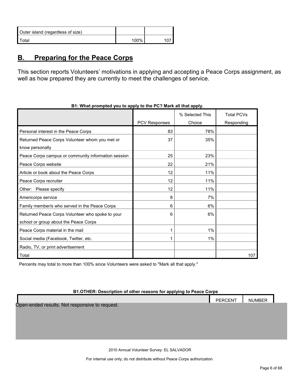| Outer island (regardless of size) |      |  |
|-----------------------------------|------|--|
| Total                             | 100% |  |

## <span id="page-5-0"></span>**B. Preparing for the Peace Corps**

This section reports Volunteers' motivations in applying and accepting a Peace Corps assignment, as well as how prepared they are currently to meet the challenges of service.

|                                                     |               | % Selected This | <b>Total PCVs</b> |
|-----------------------------------------------------|---------------|-----------------|-------------------|
|                                                     | PCV Responses | Choice          | Responding        |
| Personal interest in the Peace Corps                | 83            | 78%             |                   |
| Returned Peace Corps Volunteer whom you met or      | 37            | 35%             |                   |
| know personally                                     |               |                 |                   |
| Peace Corps campus or community information session | 25            | 23%             |                   |
| Peace Corps website                                 | 22            | 21%             |                   |
| Article or book about the Peace Corps               | 12            | 11%             |                   |
| Peace Corps recruiter                               | 12            | 11%             |                   |
| Other: Please specify                               | 12            | 11%             |                   |
| Americorps service                                  | 8             | 7%              |                   |
| Family member/s who served in the Peace Corps       | 6             | 6%              |                   |
| Returned Peace Corps Volunteer who spoke to your    | 6             | 6%              |                   |
| school or group about the Peace Corps               |               |                 |                   |
| Peace Corps material in the mail                    |               | 1%              |                   |
| Social media (Facebook, Twitter, etc.               |               | $1\%$           |                   |
| Radio, TV, or print advertisement                   |               |                 |                   |
| Total                                               |               |                 | 107               |

**B1: What prompted you to apply to the PC? Mark all that apply.**

Percents may total to more than 100% since Volunteers were asked to "Mark all that apply."

#### **B1.OTHER: Description of other reasons for applying to Peace Corps**

PERCENT NUMBER Open-ended results. Not responsive to request.

2010 Annual Volunteer Survey: EL SALVADOR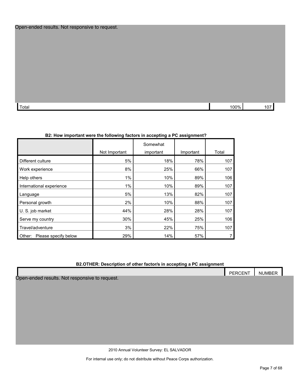#### Open-ended results. Not responsive to request.

| Total | ነበበ% | ו טו |
|-------|------|------|

#### **B2: How important were the following factors in accepting a PC assignment?**

|                                |               | Somewhat  |           |       |
|--------------------------------|---------------|-----------|-----------|-------|
|                                | Not Important | important | Important | Total |
| Different culture              | 5%            | 18%       | 78%       | 107   |
| Work experience                | 8%            | 25%       | 66%       | 107   |
| Help others                    | 1%            | 10%       | 89%       | 106   |
| International experience       | 1%            | 10%       | 89%       | 107   |
| Language                       | 5%            | 13%       | 82%       | 107   |
| Personal growth                | 2%            | 10%       | 88%       | 107   |
| U. S. job market               | 44%           | 28%       | 28%       | 107   |
| Serve my country               | 30%           | 45%       | 25%       | 106   |
| Travel/adventure               | 3%            | 22%       | 75%       | 107   |
| Please specify below<br>Other: | 29%           | 14%       | 57%       |       |

#### **B2.OTHER: Description of other factor/s in accepting a PC assignment**

|                                                        | <b>PERCENT</b> | <b>NUMBER</b> |  |
|--------------------------------------------------------|----------------|---------------|--|
| Onen-ended results<br><u>Not responsive to request</u> |                |               |  |

uits. Not responsive to request.

2010 Annual Volunteer Survey: EL SALVADOR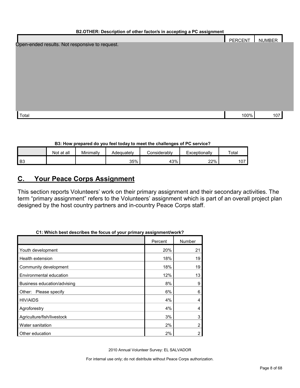| B2.OTHER: Description of other factor/s in accepting a PC assignment |                |        |  |  |  |
|----------------------------------------------------------------------|----------------|--------|--|--|--|
|                                                                      | <b>PERCENT</b> | NUMBER |  |  |  |
| Open-ended results. Not responsive to request.                       |                |        |  |  |  |
|                                                                      |                |        |  |  |  |
|                                                                      |                |        |  |  |  |
|                                                                      |                |        |  |  |  |
|                                                                      |                |        |  |  |  |
|                                                                      |                |        |  |  |  |
|                                                                      |                |        |  |  |  |
|                                                                      |                |        |  |  |  |
|                                                                      |                |        |  |  |  |

| Total | $100\%$ | 107 |
|-------|---------|-----|

#### **B3: How prepared do you feel today to meet the challenges of PC service?**

|                | Not at all | Minimally | Adequately | `onsiderablv | xceptionally | Total |
|----------------|------------|-----------|------------|--------------|--------------|-------|
| B <sub>3</sub> |            |           | 35%        | 43%          | 22%          | 107   |

## <span id="page-7-0"></span>**C. Your Peace Corps Assignment**

This section reports Volunteers' work on their primary assignment and their secondary activities. The term "primary assignment" refers to the Volunteers' assignment which is part of an overall project plan designed by the host country partners and in-country Peace Corps staff.

|                             | Percent | Number |
|-----------------------------|---------|--------|
| Youth development           | 20%     | 21     |
| Health extension            | 18%     | 19     |
| Community development       | 18%     | 19     |
| Environmental education     | 12%     | 13     |
| Business education/advising | 8%      | 9      |
| Please specify<br>Other:    | 6%      | 6      |
| <b>HIV/AIDS</b>             | 4%      | 4      |
| Agroforestry                | 4%      | 4      |
| Agriculture/fish/livestock  | 3%      | 3      |
| Water sanitation            | 2%      | 2      |
| Other education             | 2%      | 2      |

## **C1: Which best describes the focus of your primary assignment/work?**

2010 Annual Volunteer Survey: EL SALVADOR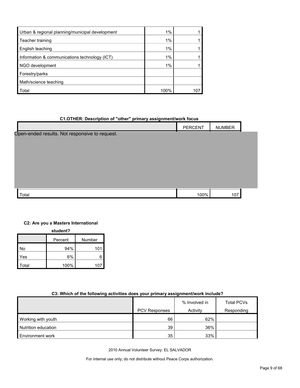| Urban & regional planning/municipal development | $1\%$ |  |
|-------------------------------------------------|-------|--|
| Teacher training                                | 1%    |  |
| English teaching                                | 1%    |  |
| Information & communications technology (ICT)   | $1\%$ |  |
| NGO development                                 | 1%    |  |
| Forestry/parks                                  |       |  |
| Math/science teaching                           |       |  |
| Total                                           | 100%  |  |

#### **C1.OTHER: Description of "other" primary assignment/work focus**

|                                                | PERCENT | <b>NUMBER</b> |  |
|------------------------------------------------|---------|---------------|--|
| Open-ended results. Not responsive to request. |         |               |  |
|                                                |         |               |  |
|                                                |         |               |  |
|                                                |         |               |  |
|                                                |         |               |  |
|                                                |         |               |  |
| Total                                          | 100%    | 107           |  |

#### **C2: Are you a Masters International**

**student?**

|       | Percent | Number |  |  |  |  |
|-------|---------|--------|--|--|--|--|
| No    | 94%     | 101    |  |  |  |  |
| Yes   | 6%      | 6      |  |  |  |  |
| Total | 100%    | 107    |  |  |  |  |

#### **C3: Which of the following activities does your primary assignment/work include?**

|                         | PCV Responses | % Involved in<br>Activity | <b>Total PCVs</b><br>Responding |
|-------------------------|---------------|---------------------------|---------------------------------|
| Working with youth      | 66            | 62%                       |                                 |
| Nutrition education     | 39            | 36%                       |                                 |
| <b>Environment work</b> | 35            | 33%                       |                                 |

2010 Annual Volunteer Survey: EL SALVADOR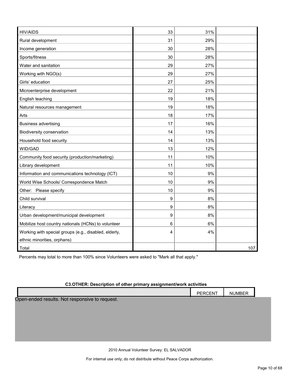| <b>HIV/AIDS</b>                                       | 33 | 31% |     |
|-------------------------------------------------------|----|-----|-----|
| Rural development                                     | 31 | 29% |     |
| Income generation                                     | 30 | 28% |     |
| Sports/fitness                                        | 30 | 28% |     |
| Water and sanitation                                  | 29 | 27% |     |
| Working with NGO(s)                                   | 29 | 27% |     |
| Girls' education                                      | 27 | 25% |     |
| Microenterprise development                           | 22 | 21% |     |
| English teaching                                      | 19 | 18% |     |
| Natural resources management                          | 19 | 18% |     |
| Arts                                                  | 18 | 17% |     |
| <b>Business advertising</b>                           | 17 | 16% |     |
| Biodiversity conservation                             | 14 | 13% |     |
| Household food security                               | 14 | 13% |     |
| WID/GAD                                               | 13 | 12% |     |
| Community food security (production/marketing)        | 11 | 10% |     |
| Library development                                   | 11 | 10% |     |
| Information and communications technology (ICT)       | 10 | 9%  |     |
| World Wise Schools/ Correspondence Match              | 10 | 9%  |     |
| Other: Please specify                                 | 10 | 9%  |     |
| Child survival                                        | 9  | 8%  |     |
| Literacy                                              | 9  | 8%  |     |
| Urban development/municipal development               | 9  | 8%  |     |
| Mobilize host country nationals (HCNs) to volunteer   | 6  | 6%  |     |
| Working with special groups (e.g., disabled, elderly, | 4  | 4%  |     |
| ethnic minorities, orphans)                           |    |     |     |
| Total                                                 |    |     | 107 |

Percents may total to more than 100% since Volunteers were asked to "Mark all that apply."

#### **C3.OTHER: Description of other primary assignment/work activities**

|                                                | PERCENT | <b>NUMBER</b> |  |
|------------------------------------------------|---------|---------------|--|
| Open-ended results. Not responsive to request. |         |               |  |
|                                                |         |               |  |
|                                                |         |               |  |
|                                                |         |               |  |
|                                                |         |               |  |
|                                                |         |               |  |

2010 Annual Volunteer Survey: EL SALVADOR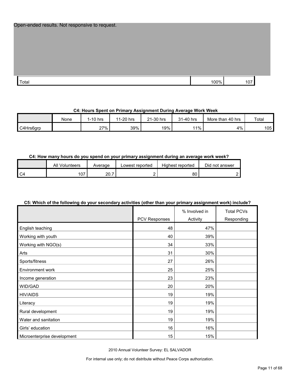| Open-ended results. Not responsive to request. |  |  |
|------------------------------------------------|--|--|
|------------------------------------------------|--|--|

| Total | 100% | $ -$<br>10. |
|-------|------|-------------|

#### **C4: Hours Spent on Primary Assignment During Average Work Week**

|           | None | $1-10$ hrs | 1-20 hrs<br>44 | 21-30 hrs | 31-40 hrs | More than 40 hrs | Total |
|-----------|------|------------|----------------|-----------|-----------|------------------|-------|
| C4Hrs6grp |      | 27%        | 39%            | 19%       | 11%       | 4%               | 105   |

#### **C4: How many hours do you spend on your primary assignment during an average work week?**

|                | All<br>Volunteers | Average   | Lowest reported | Highest reported | Did not answer |
|----------------|-------------------|-----------|-----------------|------------------|----------------|
| C <sub>4</sub> | 07،               | 20.7<br>- | -               | 80               |                |

#### **C5: Which of the following do your secondary activities (other than your primary assignment work) include?**

|                             |               | % Involved in | <b>Total PCVs</b> |
|-----------------------------|---------------|---------------|-------------------|
|                             | PCV Responses | Activity      | Responding        |
| English teaching            | 48            | 47%           |                   |
| Working with youth          | 40            | 39%           |                   |
| Working with NGO(s)         | 34            | 33%           |                   |
| Arts                        | 31            | 30%           |                   |
| Sports/fitness              | 27            | 26%           |                   |
| Environment work            | 25            | 25%           |                   |
| Income generation           | 23            | 23%           |                   |
| WID/GAD                     | 20            | 20%           |                   |
| <b>HIV/AIDS</b>             | 19            | 19%           |                   |
| Literacy                    | 19            | 19%           |                   |
| Rural development           | 19            | 19%           |                   |
| Water and sanitation        | 19            | 19%           |                   |
| Girls' education            | 16            | 16%           |                   |
| Microenterprise development | 15            | 15%           |                   |

2010 Annual Volunteer Survey: EL SALVADOR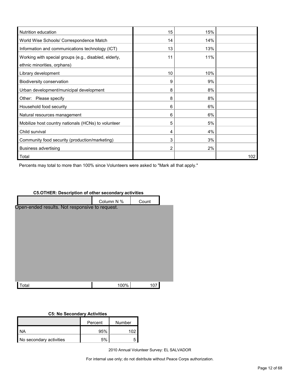| Nutrition education                                   | 15 | 15% |     |
|-------------------------------------------------------|----|-----|-----|
| World Wise Schools/ Correspondence Match              | 14 | 14% |     |
| Information and communications technology (ICT)       | 13 | 13% |     |
| Working with special groups (e.g., disabled, elderly, | 11 | 11% |     |
| ethnic minorities, orphans)                           |    |     |     |
| Library development                                   | 10 | 10% |     |
| Biodiversity conservation                             | 9  | 9%  |     |
| Urban development/municipal development               | 8  | 8%  |     |
| Please specify<br>Other:                              | 8  | 8%  |     |
| Household food security                               | 6  | 6%  |     |
| Natural resources management                          | 6  | 6%  |     |
| Mobilize host country nationals (HCNs) to volunteer   | 5  | 5%  |     |
| Child survival                                        | 4  | 4%  |     |
| Community food security (production/marketing)        | 3  | 3%  |     |
| <b>Business advertising</b>                           | 2  | 2%  |     |
| Total                                                 |    |     | 102 |

Percents may total to more than 100% since Volunteers were asked to "Mark all that apply."

# Column N % Count Total 100% 107 Open-ended results. Not responsive to request.

**C5.OTHER: Description of other secondary activities**

#### **C5: No Secondary Activities**

|                         | Percent | Number |
|-------------------------|---------|--------|
| <b>NA</b>               | 95%     |        |
| No secondary activities | 5%      |        |

2010 Annual Volunteer Survey: EL SALVADOR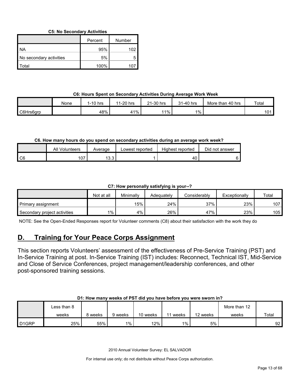**C5: No Secondary Activities**

|                         | Percent | Number |
|-------------------------|---------|--------|
| I NA                    | 95%     | 102    |
| No secondary activities | 5%      |        |
| l Total                 | 100%    | ־10    |

#### **C6: Hours Spent on Secondary Activities During Average Work Week**

|           | None | $1-10$ hrs | 1-20 hrs<br>44 | 21-30 hrs | 31-40 hrs | More than 40 hrs | Total |
|-----------|------|------------|----------------|-----------|-----------|------------------|-------|
| C6Hrs6grp |      | 48%        | 41%            | 1%        | $1\%$     |                  | 101   |

#### **C6. How many hours do you spend on secondary activities during an average work week?**

|                | All Volunteers | Average       | Lowest reported | Highest reported | Did not answer |
|----------------|----------------|---------------|-----------------|------------------|----------------|
| C <sub>6</sub> | 107            | 122<br>ا ت. ت |                 | $\sim$<br>40.    |                |

#### **C7: How personally satisfying is your--?**

|                              | Not at all | Minimally | Adeauatelv | Considerablv | Exceptionally | Total |
|------------------------------|------------|-----------|------------|--------------|---------------|-------|
| Primary assignment           |            | $15\%$    | 24%        | 37%          | 23%           | 107   |
| Secondary project activities | $1\%$      | 4%        | 26%        | 47%          | 23%           | 105   |

NOTE: See the Open-Ended Responses report for Volunteer comments (C8) about their satisfaction with the work they do

## <span id="page-12-0"></span>**D. Training for Your Peace Corps Assignment**

This section reports Volunteers' assessment of the effectiveness of Pre-Service Training (PST) and In-Service Training at post. In-Service Training (IST) includes: Reconnect, Technical IST, Mid-Service and Close of Service Conferences, project management/leadership conferences, and other post-sponsored training sessions.

#### **D1: How many weeks of PST did you have before you were sworn in?**

|                   | Less than 8 |         |         |          |       |          | More than 12 |       |
|-------------------|-------------|---------|---------|----------|-------|----------|--------------|-------|
|                   | weeks       | ९ weeks | 9 weeks | 10 weeks | weeks | 12 weeks | weeks        | Total |
| D <sub>1GRP</sub> | 25%         | 55%     | $1\%$   | $12\%$   | $1\%$ | 5%       |              | 92    |

2010 Annual Volunteer Survey: EL SALVADOR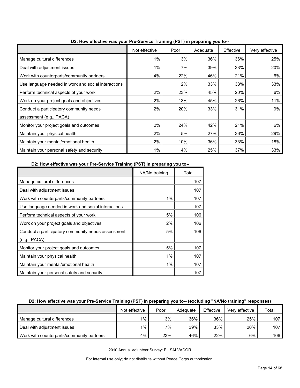|                                                     | Not effective | Poor | a ( - - - <i>)</i> p. - p g <i>y</i> -<br>Adequate | Effective | Very effective |
|-----------------------------------------------------|---------------|------|----------------------------------------------------|-----------|----------------|
| Manage cultural differences                         | 1%            | 3%   | 36%                                                | 36%       | 25%            |
| Deal with adjustment issues                         | 1%            | 7%   | 39%                                                | 33%       | 20%            |
| Work with counterparts/community partners           | 4%            | 22%  | 46%                                                | 21%       | 6%             |
| Use language needed in work and social interactions |               | 2%   | 33%                                                | 33%       | 33%            |
| Perform technical aspects of your work              | 2%            | 23%  | 45%                                                | 20%       | 6%             |
| Work on your project goals and objectives           | 2%            | 13%  | 45%                                                | 26%       | 11%            |
| Conduct a participatory community needs             | 2%            | 20%  | 33%                                                | 31%       | 9%             |
| assessment (e.g., PACA)                             |               |      |                                                    |           |                |
| Monitor your project goals and outcomes             | 2%            | 24%  | 42%                                                | 21%       | 6%             |
| Maintain your physical health                       | 2%            | 5%   | 27%                                                | 36%       | 29%            |
| Maintain your mental/emotional health               | 2%            | 10%  | 36%                                                | 33%       | 18%            |
| Maintain your personal safety and security          | $1\%$         | 4%   | 25%                                                | 37%       | 33%            |

**D2: How effective was your Pre-Service Training (PST) in preparing you to--**

**D2: How effective was your Pre-Service Training (PST) in preparing you to--**

|                                                     | NA/No training | Total |
|-----------------------------------------------------|----------------|-------|
| Manage cultural differences                         |                | 107   |
| Deal with adjustment issues                         |                | 107   |
| Work with counterparts/community partners           | 1%             | 107   |
| Use language needed in work and social interactions |                | 107   |
| Perform technical aspects of your work              | 5%             | 106   |
| Work on your project goals and objectives           | 2%             | 106   |
| Conduct a participatory community needs assessment  | 5%             | 106   |
| (e.g., PACA)                                        |                |       |
| Monitor your project goals and outcomes             | 5%             | 107   |
| Maintain your physical health                       | 1%             | 107   |
| Maintain your mental/emotional health               | 1%             | 107   |
| Maintain your personal safety and security          |                | 107   |

#### **D2: How effective was your Pre-Service Training (PST) in preparing you to-- (excluding "NA/No training" responses)**

|                                           | Not effective | Poor | Adequate | Effective | Very effective | Total            |
|-------------------------------------------|---------------|------|----------|-----------|----------------|------------------|
| Manage cultural differences               | 1%            | 3%   | 36%      | 36%       | 25%            | 107.             |
| Deal with adjustment issues               | $1\%$         | 7%   | 39%      | 33%       | 20%            | 107 <sub>h</sub> |
| Work with counterparts/community partners | 4%            | 23%  | 46%      | 22%       | 6%             | 106              |

2010 Annual Volunteer Survey: EL SALVADOR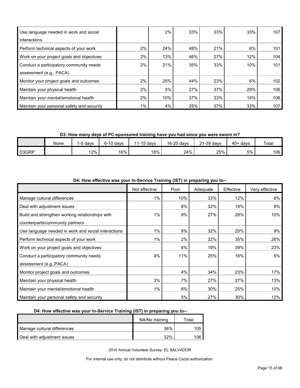| Use language needed in work and social<br>interactions |       | $2\%$ | 33% | 33% | 33% | 107 |
|--------------------------------------------------------|-------|-------|-----|-----|-----|-----|
| Perform technical aspects of your work                 | 2%    | 24%   | 48% | 21% | 6%  | 101 |
| Work on your project goals and objectives              | 2%    | 13%   | 46% | 27% | 12% | 104 |
| Conduct a participatory community needs                | 2%    | 21%   | 35% | 33% | 10% | 101 |
| assessment (e.g., PACA)                                |       |       |     |     |     |     |
| Monitor your project goals and outcomes                | $2\%$ | 25%   | 44% | 23% | 6%  | 102 |
| Maintain your physical health                          | $2\%$ | 5%    | 27% | 37% | 29% | 106 |
| Maintain your mental/emotional health                  | $2\%$ | 10%   | 37% | 33% | 18% | 106 |
| Maintain your personal safety and security             | $1\%$ | 4%    | 25% | 37% | 33% | 107 |

**D3: How many days of PC-sponsored training have you had since you were sworn in?**

|       | None | 5 davs | $6-10$ davs | $1-15$ davs | 16-20 days | 21-39 days | 40+<br>davs | Total |
|-------|------|--------|-------------|-------------|------------|------------|-------------|-------|
| D3GRP |      | 12%    | 16%         | 18%         | 24%        | 25%        | 5%          | 106   |

| $P_{\text{max}}$ , now onoon to map your in corrico rrammig (ior) in proparing you to |               |      |          |           |                |
|---------------------------------------------------------------------------------------|---------------|------|----------|-----------|----------------|
|                                                                                       | Not effective | Poor | Adequate | Effective | Very effective |
| Manage cultural differences                                                           | $1\%$         | 10%  | 33%      | 12%       | 8%             |
| Deal with adjustment issues                                                           |               | 8%   | 32%      | 19%       | 8%             |
| Build and strengthen working relationships with                                       | 1%            | 9%   | 27%      | 28%       | 10%            |
| counterparts/community partners                                                       |               |      |          |           |                |
| Use language needed in work and social interactions                                   | 1%            | 8%   | 32%      | 25%       | 9%             |
| Perform technical aspects of your work                                                | $1\%$         | 2%   | 22%      | 35%       | 26%            |
| Work on your project goals and objectives                                             |               | 6%   | 19%      | 39%       | 23%            |
| Conduct a participatory community needs                                               | 4%            | 11%  | 25%      | 16%       | 6%             |
| assessment (e.g., PACA)                                                               |               |      |          |           |                |
| Monitor project goals and outcomes                                                    |               | 4%   | 34%      | 23%       | 17%            |
| Maintain your physical health                                                         | 3%            | 7%   | 27%      | 27%       | 13%            |
| Maintain your mental/emotional health                                                 | $1\%$         | 8%   | 30%      | 25%       | 10%            |
| Maintain your personal safety and security                                            |               | 5%   | 27%      | 30%       | 12%            |

**D4: How effective was your In-Service Training (IST) in preparing you to--**

#### **D4: How effective was your In-Service Training (IST) in preparing you to--**

|                             | NA/No training | ™ota⊩ |
|-----------------------------|----------------|-------|
| Manage cultural differences | 36%            | 05.   |
| Deal with adjustment issues | 32%            | .06 I |

2010 Annual Volunteer Survey: EL SALVADOR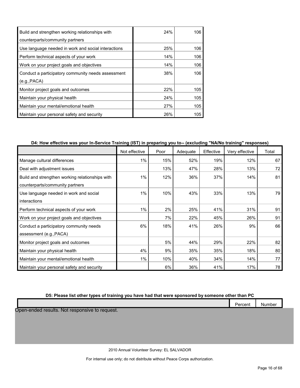| Build and strengthen working relationships with     | 24% | 106 |
|-----------------------------------------------------|-----|-----|
| counterparts/community partners                     |     |     |
| Use language needed in work and social interactions | 25% | 106 |
| Perform technical aspects of your work              | 14% | 106 |
| Work on your project goals and objectives           | 14% | 106 |
| Conduct a participatory community needs assessment  | 38% | 106 |
| (e.g., PACA)                                        |     |     |
| Monitor project goals and outcomes                  | 22% | 105 |
| Maintain your physical health                       | 24% | 105 |
| Maintain your mental/emotional health               | 27% | 105 |
| Maintain your personal safety and security          | 26% | 105 |

#### **D4: How effective was your In-Service Training (IST) in preparing you to-- (excluding "NA/No training" responses)**

|                                                 | Not effective | Poor | Adequate | Effective | Very effective | Total |
|-------------------------------------------------|---------------|------|----------|-----------|----------------|-------|
| Manage cultural differences                     | 1%            | 15%  | 52%      | 19%       | 12%            | 67    |
| Deal with adjustment issues                     |               | 13%  | 47%      | 28%       | 13%            | 72    |
| Build and strengthen working relationships with | $1\%$         | 12%  | 36%      | 37%       | 14%            | 81    |
| counterparts/community partners                 |               |      |          |           |                |       |
| Use language needed in work and social          | $1\%$         | 10%  | 43%      | 33%       | 13%            | 79    |
| interactions                                    |               |      |          |           |                |       |
| Perform technical aspects of your work          | $1\%$         | 2%   | 25%      | 41%       | 31%            | 91    |
| Work on your project goals and objectives       |               | 7%   | 22%      | 45%       | 26%            | 91    |
| Conduct a participatory community needs         | 6%            | 18%  | 41%      | 26%       | 9%             | 66    |
| assessment (e.g., PACA)                         |               |      |          |           |                |       |
| Monitor project goals and outcomes              |               | 5%   | 44%      | 29%       | 22%            | 82    |
| Maintain your physical health                   | 4%            | 9%   | 35%      | 35%       | 18%            | 80    |
| Maintain your mental/emotional health           | $1\%$         | 10%  | 40%      | 34%       | 14%            | 77    |
| Maintain your personal safety and security      |               | 6%   | 36%      | 41%       | 17%            | 78    |

#### **D5: Please list other types of training you have had that were sponsored by someone other than PC**

|  | __ |  |              |        |
|--|----|--|--------------|--------|
|  |    |  | –<br>'ercent | Number |
|  |    |  |              |        |

Open-ended results. Not responsive to request.

2010 Annual Volunteer Survey: EL SALVADOR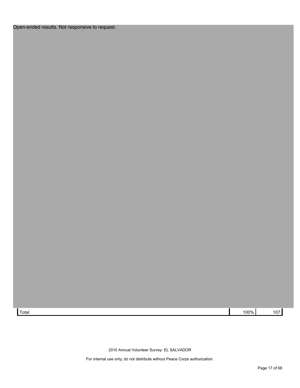## Open-ended results. Not responsive to request.

Total 100% 107

2010 Annual Volunteer Survey: EL SALVADOR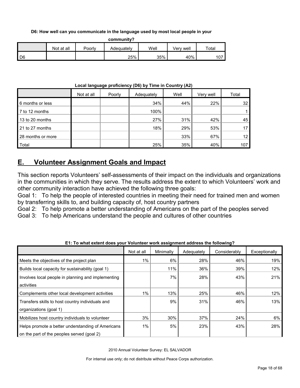**D6: How well can you communicate in the language used by most local people in your** 

**community?**

|                 | Not at all | Poorly | Adequately | Well | Verv well | Total              |
|-----------------|------------|--------|------------|------|-----------|--------------------|
| $\overline{D6}$ |            |        | 25%        | 35%  | 40%       | $\sim$ $-$<br>ו שו |

|  | Local language proficiency (D6) by Time in Country (A2) |
|--|---------------------------------------------------------|
|--|---------------------------------------------------------|

|                   | Not at all | Poorly | Adequately | Well | Very well | Total |
|-------------------|------------|--------|------------|------|-----------|-------|
| 6 months or less  |            |        | 34%        | 44%  | 22%       | 32    |
| 7 to 12 months    |            |        | 100%       |      |           |       |
| 13 to 20 months   |            |        | 27%        | 31%  | 42%       | 45    |
| 21 to 27 months   |            |        | 18%        | 29%  | 53%       |       |
| 28 months or more |            |        |            | 33%  | 67%       | 12    |
| Total             |            |        | 25%        | 35%  | 40%       | 107   |

## <span id="page-17-0"></span>**E. Volunteer Assignment Goals and Impact**

This section reports Volunteers' self-assessments of their impact on the individuals and organizations in the communities in which they serve. The results address the extent to which Volunteers' work and other community interaction have achieved the following three goals:

Goal 1: To help the people of interested countries in meeting their need for trained men and women by transferring skills to, and building capacity of, host country partners

Goal 2: To help promote a better understanding of Americans on the part of the peoples served

Goal 3: To help Americans understand the people and cultures of other countries

|                                                    | Not at all | Minimally | Adequately | Considerably | Exceptionally |
|----------------------------------------------------|------------|-----------|------------|--------------|---------------|
| Meets the objectives of the project plan           | 1%         | 6%        | 28%        | 46%          | 19%           |
| Builds local capacity for sustainability (goal 1)  |            | 11%       | 36%        | 39%          | 12%           |
| Involves local people in planning and implementing |            | 7%        | 28%        | 43%          | 21%           |
| activities                                         |            |           |            |              |               |
| Complements other local development activities     | 1%         | 13%       | 25%        | 46%          | 12%           |
| Transfers skills to host country individuals and   |            | 9%        | 31%        | 46%          | 13%           |
| organizations (goal 1)                             |            |           |            |              |               |
| Mobilizes host country individuals to volunteer    | 3%         | 30%       | 37%        | 24%          | 6%            |
| Helps promote a better understanding of Americans  | 1%         | 5%        | 23%        | 43%          | 28%           |
| on the part of the peoples served (goal 2)         |            |           |            |              |               |

**E1: To what extent does your Volunteer work assignment address the following?**

2010 Annual Volunteer Survey: EL SALVADOR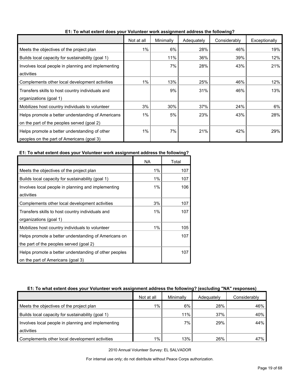|                                                    | Not at all | Minimally | Adequately | Considerably | Exceptionally |
|----------------------------------------------------|------------|-----------|------------|--------------|---------------|
| Meets the objectives of the project plan           | 1%         | 6%        | 28%        | 46%          | 19%           |
| Builds local capacity for sustainability (goal 1)  |            | 11%       | 36%        | 39%          | 12%           |
| Involves local people in planning and implementing |            | 7%        | 28%        | 43%          | 21%           |
| activities                                         |            |           |            |              |               |
| Complements other local development activities     | 1%         | 13%       | 25%        | 46%          | 12%           |
| Transfers skills to host country individuals and   |            | 9%        | 31%        | 46%          | 13%           |
| organizations (goal 1)                             |            |           |            |              |               |
| Mobilizes host country individuals to volunteer    | 3%         | 30%       | 37%        | 24%          | 6%            |
| Helps promote a better understanding of Americans  | 1%         | 5%        | 23%        | 43%          | 28%           |
| on the part of the peoples served (goal 2)         |            |           |            |              |               |
| Helps promote a better understanding of other      | 1%         | 7%        | 21%        | 42%          | 29%           |
| peoples on the part of Americans (goal 3)          |            |           |            |              |               |

**E1: To what extent does your Volunteer work assignment address the following?**

#### **E1: To what extent does your Volunteer work assignment address the following?**

|                                                       | NA    | Total |
|-------------------------------------------------------|-------|-------|
| Meets the objectives of the project plan              | 1%    | 107   |
| Builds local capacity for sustainability (goal 1)     | 1%    | 107   |
| Involves local people in planning and implementing    | $1\%$ | 106   |
| activities                                            |       |       |
| Complements other local development activities        | 3%    | 107   |
| Transfers skills to host country individuals and      | $1\%$ | 107   |
| organizations (goal 1)                                |       |       |
| Mobilizes host country individuals to volunteer       | $1\%$ | 105   |
| Helps promote a better understanding of Americans on  |       | 107   |
| the part of the peoples served (goal 2)               |       |       |
| Helps promote a better understanding of other peoples |       | 107   |
| on the part of Americans (goal 3)                     |       |       |

#### **E1: To what extent does your Volunteer work assignment address the following? (excluding "NA" responses)**

|                                                    | Not at all | Minimally | Adequately | Considerably |
|----------------------------------------------------|------------|-----------|------------|--------------|
| Meets the objectives of the project plan           | 1%         | 6%        | 28%        | 46%          |
| Builds local capacity for sustainability (goal 1)  |            | 11%       | 37%        | 40%          |
| Involves local people in planning and implementing |            | 7%        | 29%        | 44%          |
| activities                                         |            |           |            |              |
| Complements other local development activities     | 1%         | 13%       | 26%        | 47%          |

2010 Annual Volunteer Survey: EL SALVADOR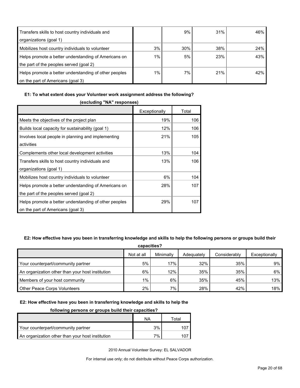| Transfers skills to host country individuals and      |    | 9%  | 31% | 46% |
|-------------------------------------------------------|----|-----|-----|-----|
| organizations (goal 1)                                |    |     |     |     |
| Mobilizes host country individuals to volunteer       | 3% | 30% | 38% | 24% |
| Helps promote a better understanding of Americans on  | 1% | 5%  | 23% | 43% |
| the part of the peoples served (goal 2)               |    |     |     |     |
| Helps promote a better understanding of other peoples | 1% | 7%  | 21% | 42% |
| on the part of Americans (goal 3)                     |    |     |     |     |

#### **E1: To what extent does your Volunteer work assignment address the following?**

| (excluding "NA" responses)                            |               |       |  |  |  |
|-------------------------------------------------------|---------------|-------|--|--|--|
|                                                       | Exceptionally | Total |  |  |  |
| Meets the objectives of the project plan              | 19%           | 106   |  |  |  |
| Builds local capacity for sustainability (goal 1)     | 12%           | 106   |  |  |  |
| Involves local people in planning and implementing    | 21%           | 105   |  |  |  |
| activities                                            |               |       |  |  |  |
| Complements other local development activities        | 13%           | 104   |  |  |  |
| Transfers skills to host country individuals and      | 13%           | 106   |  |  |  |
| organizations (goal 1)                                |               |       |  |  |  |
| Mobilizes host country individuals to volunteer       | 6%            | 104   |  |  |  |
| Helps promote a better understanding of Americans on  | 28%           | 107   |  |  |  |
| the part of the peoples served (goal 2)               |               |       |  |  |  |
| Helps promote a better understanding of other peoples | 29%           | 107   |  |  |  |
| on the part of Americans (goal 3)                     |               |       |  |  |  |

#### **E2: How effective have you been in transferring knowledge and skills to help the following persons or groups build their**

| capacities?                                      |            |           |            |              |               |  |  |
|--------------------------------------------------|------------|-----------|------------|--------------|---------------|--|--|
|                                                  | Not at all | Minimally | Adequately | Considerably | Exceptionally |  |  |
| Your counterpart/community partner               | 5%         | 17%       | 32%        | 35%          | 9%            |  |  |
| An organization other than your host institution | 6%         | 12%       | 35%        | 35%          | 6%            |  |  |
| Members of your host community                   | $1\%$      | 6%        | 35%        | 45%          | 13%           |  |  |
| <b>Other Peace Corps Volunteers</b>              | 2%         | 7%        | 28%        | 42%          | 18%           |  |  |

#### **E2: How effective have you been in transferring knowledge and skills to help the**

#### **following persons or groups build their capacities?**

|                                                  | ΝA | Total |
|--------------------------------------------------|----|-------|
| Your counterpart/community partner               | 3% |       |
| An organization other than your host institution | 7% |       |

2010 Annual Volunteer Survey: EL SALVADOR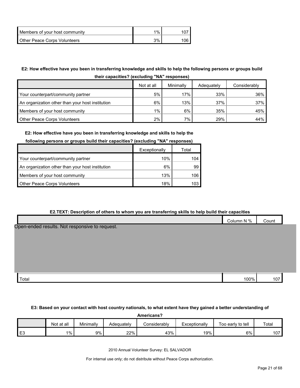| Members of your host community      | $1\%$ |     |
|-------------------------------------|-------|-----|
| <b>Other Peace Corps Volunteers</b> | 3%    | 106 |

## **E2: How effective have you been in transferring knowledge and skills to help the following persons or groups build**

| their capacities? (excluding "NA" responses) |  |
|----------------------------------------------|--|
|----------------------------------------------|--|

|                                                  | Not at all | Minimally | Adequately | Considerably |
|--------------------------------------------------|------------|-----------|------------|--------------|
| Your counterpart/community partner               | 5%         | 17%       | 33%        | 36%          |
| An organization other than your host institution | 6%         | 13%       | 37%        | 37%          |
| Members of your host community                   | 1%         | 6%        | 35%        | 45% l        |
| <b>Other Peace Corps Volunteers</b>              | 2%         | 7%        | 29%        | 44%          |

#### **E2: How effective have you been in transferring knowledge and skills to help the**

#### **following persons or groups build their capacities? (excluding "NA" responses)**

|                                                  | Exceptionally |      |
|--------------------------------------------------|---------------|------|
| Your counterpart/community partner               | 10%           | 104  |
| An organization other than your host institution | 6%            | 99   |
| Members of your host community                   | 13%           | 106  |
| Other Peace Corps Volunteers                     | 18%           | 103. |

#### **E2.TEXT: Description of others to whom you are transferring skills to help build their capacities**

|                                                | Column N % | Count |  |
|------------------------------------------------|------------|-------|--|
| Open-ended results. Not responsive to request. |            |       |  |
|                                                |            |       |  |
|                                                |            |       |  |
|                                                |            |       |  |
|                                                |            |       |  |
| Total                                          | 100%       | 107   |  |

#### **E3: Based on your contact with host country nationals, to what extent have they gained a better understanding of**

| Americans?     |            |           |            |              |               |                   |       |  |  |
|----------------|------------|-----------|------------|--------------|---------------|-------------------|-------|--|--|
|                | Not at all | Minimally | Adequatelv | Considerably | Exceptionally | Too early to tell | Total |  |  |
| E <sub>3</sub> | 1%         | 9%        | 22%        | 43%          | 19%           | 6%                | 107   |  |  |

2010 Annual Volunteer Survey: EL SALVADOR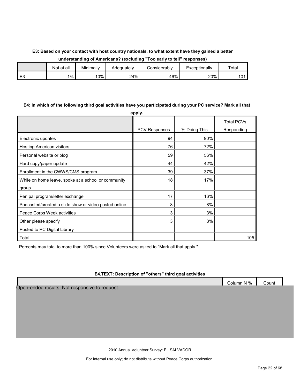#### **E3: Based on your contact with host country nationals, to what extent have they gained a better understanding of Americans? (excluding "Too early to tell" responses)**

|                | Not at all | Minimally | Adequatelv | Considerabl∨ | Exceptionally | Total |
|----------------|------------|-----------|------------|--------------|---------------|-------|
| <b>E</b><br>∟ບ | $1\%$      | 10%       | 24%        | 46%          | 20%           | 101   |

#### **E4: In which of the following third goal activities have you participated during your PC service? Mark all that**

|                                                       | apply.               |              |                                 |
|-------------------------------------------------------|----------------------|--------------|---------------------------------|
|                                                       | <b>PCV Responses</b> | % Doing This | <b>Total PCVs</b><br>Responding |
|                                                       |                      |              |                                 |
| Electronic updates                                    | 94                   | 90%          |                                 |
| Hosting American visitors                             | 76                   | 72%          |                                 |
| Personal website or blog                              | 59                   | 56%          |                                 |
| Hard copy/paper update                                | 44                   | 42%          |                                 |
| Enrollment in the CWWS/CMS program                    | 39                   | 37%          |                                 |
| While on home leave, spoke at a school or community   | 18                   | 17%          |                                 |
| group                                                 |                      |              |                                 |
| Pen pal program/letter exchange                       | 17                   | 16%          |                                 |
| Podcasted/created a slide show or video posted online | 8                    | 8%           |                                 |
| Peace Corps Week activities                           | 3                    | 3%           |                                 |
| Other please specify                                  | 3                    | 3%           |                                 |
| Posted to PC Digital Library                          |                      |              |                                 |
| Total                                                 |                      |              | 105                             |

Percents may total to more than 100% since Volunteers were asked to "Mark all that apply."

#### **E4.TEXT: Description of "others" third goal activities**

|                                                | Column N % | Count |
|------------------------------------------------|------------|-------|
| Open-ended results. Not responsive to request. |            |       |

2010 Annual Volunteer Survey: EL SALVADOR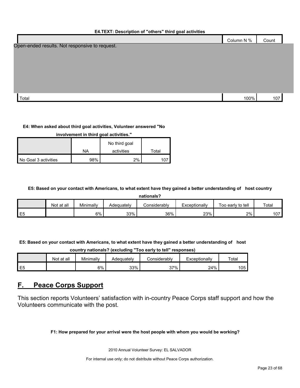#### **E4.TEXT: Description of "others" third goal activities**

|                                                | Column N % | Count |
|------------------------------------------------|------------|-------|
| Open-ended results. Not responsive to request. |            |       |
|                                                |            |       |
|                                                |            |       |
|                                                |            |       |
|                                                |            |       |
|                                                |            |       |

 $\Gamma$ otal 100%  $\vert$  107 $\vert$ 

#### **E4: When asked about third goal activities, Volunteer answered "No**

| involvement in third goal activities." |     |               |       |  |  |  |  |  |  |
|----------------------------------------|-----|---------------|-------|--|--|--|--|--|--|
|                                        |     | No third goal |       |  |  |  |  |  |  |
|                                        | NA  | activities    | Total |  |  |  |  |  |  |
| No Goal 3 activities                   | 98% | 2%            |       |  |  |  |  |  |  |

#### **E5: Based on your contact with Americans, to what extent have they gained a better understanding of host country**

**nationals?**

|                 | . at all<br>Not | Minimally | Adequately | Considerablv | Exceptionally | Too early to tell | Total       |
|-----------------|-----------------|-----------|------------|--------------|---------------|-------------------|-------------|
| $ -$<br>ᄂ<br>∽∟ |                 | 6%        | 33%        | 36%          | 23%           | $2\%$             | 107<br>ו טו |

**E5: Based on your contact with Americans, to what extent have they gained a better understanding of host** 

**country nationals? (excluding "Too early to tell" responses)**

|   | Not at all | Minimally | Adequately | ≿onsiderablv | Exceptionally | Total |
|---|------------|-----------|------------|--------------|---------------|-------|
| ∸ |            | 6%        | 33%        | 37%<br>، ں   | 24%           | 105   |

## <span id="page-22-0"></span>**F. Peace Corps Support**

This section reports Volunteers' satisfaction with in-country Peace Corps staff support and how the Volunteers communicate with the post.

**F1: How prepared for your arrival were the host people with whom you would be working?**

2010 Annual Volunteer Survey: EL SALVADOR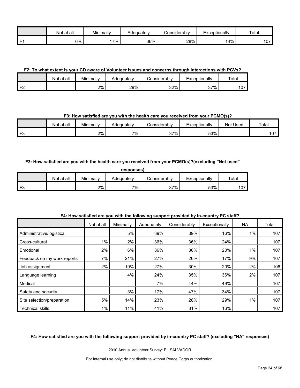|      | at all<br>Not | Minimally | Adequately | Considerabl∨ | Exceptionally | Total        |
|------|---------------|-----------|------------|--------------|---------------|--------------|
| l F1 | 6%            | 7%        | 36%        | 28%          | 14%           | $\sim$<br>טו |

**F2: To what extent is your CD aware of Volunteer issues and concerns through interactions with PCVs?**

|    | Not at all | Minimally | Adequately | こonsiderablv | Exceptionally | Total      |
|----|------------|-----------|------------|--------------|---------------|------------|
| 口り |            | $2\%$     | 29%        | 32%          | 37%           | 107<br>1 U |

#### **F3: How satisfied are you with the health care you received from your PCMO(s)?**

|                | Not<br>∶at all | Minimally | Adequatelv | Considerablv | Exceptionally | Used<br>Not | Total     |
|----------------|----------------|-----------|------------|--------------|---------------|-------------|-----------|
| <b>E3</b><br>ت |                | 2%        | 7%         | 37%          | 53%           |             | 107<br>טו |

#### **F3: How satisfied are you with the health care you received from your PCMO(s)?(excluding "Not used"**

| responses) |            |           |            |              |               |       |  |  |  |  |
|------------|------------|-----------|------------|--------------|---------------|-------|--|--|--|--|
|            | Not at all | Minimally | Adequately | Considerabl∨ | Exceptionally | Total |  |  |  |  |
| ∟E?        |            | 2%        | 7%         | 37%          | 53%           | 107   |  |  |  |  |

|                             | Not at all | Minimally | Adequately | Considerably | Exceptionally | NA.   | Total |
|-----------------------------|------------|-----------|------------|--------------|---------------|-------|-------|
| Administrative/logistical   |            | 5%        | 39%        | 39%          | 16%           | $1\%$ | 107   |
| Cross-cultural              | $1\%$      | 2%        | 36%        | 36%          | 24%           |       | 107   |
| Emotional                   | 2%         | 6%        | 36%        | 36%          | 20%           | 1%    | 107   |
| Feedback on my work reports | 7%         | 21%       | 27%        | 20%          | 17%           | 9%    | 107   |
| Job assignment              | $2\%$      | 19%       | 27%        | 30%          | 20%           | 2%    | 106   |
| Language learning           |            | 4%        | 24%        | 35%          | 36%           | 2%    | 107   |
| Medical                     |            |           | 7%         | 44%          | 49%           |       | 107   |
| Safety and security         |            | 3%        | 17%        | 47%          | 34%           |       | 107   |
| Site selection/preparation  | 5%         | 14%       | 23%        | 28%          | 29%           | $1\%$ | 107   |
| <b>Technical skills</b>     | $1\%$      | 11%       | 41%        | 31%          | 16%           |       | 107   |

#### **F4: How satisfied are you with the following support provided by in-country PC staff?**

**F4: How satisfied are you with the following support provided by in-country PC staff? (excluding "NA" responses)**

2010 Annual Volunteer Survey: EL SALVADOR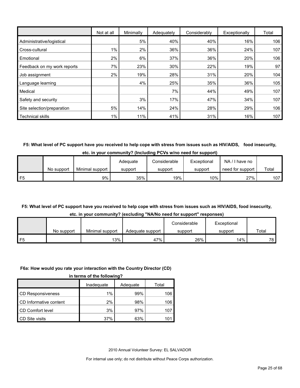|                             | Not at all | Minimally | Adequately | Considerably | Exceptionally | Total |
|-----------------------------|------------|-----------|------------|--------------|---------------|-------|
| Administrative/logistical   |            | 5%        | 40%        | 40%          | 16%           | 106   |
| Cross-cultural              | $1\%$      | 2%        | 36%        | 36%          | 24%           | 107   |
| Emotional                   | 2%         | 6%        | 37%        | 36%          | 20%           | 106   |
| Feedback on my work reports | 7%         | 23%       | 30%        | 22%          | 19%           | 97    |
| Job assignment              | 2%         | 19%       | 28%        | 31%          | 20%           | 104   |
| Language learning           |            | 4%        | 25%        | 35%          | 36%           | 105   |
| Medical                     |            |           | 7%         | 44%          | 49%           | 107   |
| Safety and security         |            | 3%        | 17%        | 47%          | 34%           | 107   |
| Site selection/preparation  | 5%         | 14%       | 24%        | 28%          | 29%           | 106   |
| <b>Technical skills</b>     | 1%         | 11%       | 41%        | 31%          | 16%           | 107   |

**F5: What level of PC support have you received to help cope with stress from issues such as HIV/AIDS, food insecurity, etc. in your community? (Including PCVs w/no need for support)**

|                |            |                 | Adeauate | Considerable | Exceptional | $NA / I$ have no |       |
|----------------|------------|-----------------|----------|--------------|-------------|------------------|-------|
|                | No support | Minimal support | support  | support      | support     | need for support | Total |
| F <sub>5</sub> |            | 9%              | 35%      | 19%          | 10%         | 27%              | 107   |

#### **F5: What level of PC support have you received to help cope with stress from issues such as HIV/AIDS, food insecurity, etc. in your community? (excluding "NA/No need for support" responses)**

|    |            |                 |                  | Considerable | Exceptional |       |
|----|------------|-----------------|------------------|--------------|-------------|-------|
|    | No support | Minimal support | Adequate support | support      | support     | Total |
| ᄃᄃ |            | 13%             | 47%              | 26%          | 14%         | 78    |

#### **F6a: How would you rate your interaction with the Country Director (CD)**

|  | in terms of the following? |  |
|--|----------------------------|--|
|  |                            |  |

|                          | Inadequate | Adequate | Total |
|--------------------------|------------|----------|-------|
| <b>CD Responsiveness</b> | 1%         | 99%      | 106   |
| CD Informative content   | 2%         | 98%      | 106   |
| CD Comfort level         | 3%         | 97%      | 107   |
| CD Site visits           | 37%        | 63%      | 101   |

2010 Annual Volunteer Survey: EL SALVADOR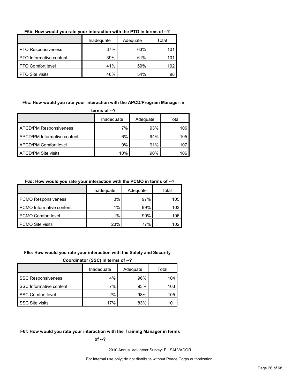**F6b: How would you rate your interaction with the PTO in terms of --?**

|                           | Inadequate | Adequate | Total |
|---------------------------|------------|----------|-------|
| <b>PTO Responsiveness</b> | 37%        | 63%      |       |
| PTO Informative content   | 39%        | 61%      |       |
| <b>PTO Comfort level</b>  | 41%        | 59%      |       |
| <b>PTO Site visits</b>    | 46%        | 54%      | 98    |

**F6c: How would you rate your interaction with the APCD/Program Manager in** 

| terms of $-2$                      |            |          |       |  |
|------------------------------------|------------|----------|-------|--|
|                                    | Inadequate | Adequate | Total |  |
| <b>APCD/PM Responsiveness</b>      | 7%         | 93%      | 106   |  |
| <b>APCD/PM Informative content</b> | 6%         | 94%      | 105   |  |
| APCD/PM Comfort level              | 9%         | 91%      | 107   |  |
| <b>APCD/PM Site visits</b>         | 10%        | 90%      | 106   |  |

**F6d: How would you rate your interaction with the PCMO in terms of --?**

|                                 | Inadeguate | Adequate | Total |
|---------------------------------|------------|----------|-------|
| <b>PCMO Responsiveness</b>      | 3%         | 97%      | 105   |
| <b>PCMO</b> Informative content | $1\%$      | 99%      | 103   |
| <b>PCMO Comfort level</b>       | $1\%$      | 99%      | 106   |
| <b>PCMO Site visits</b>         | 23%        | 77%      | 102   |

#### **F6e: How would you rate your interaction with the Safety and Security**

**Coordinator (SSC) in terms of --?**

|                           | Inadequate | Adequate | Total |
|---------------------------|------------|----------|-------|
| <b>SSC Responsiveness</b> | 4%         | 96%      | 104   |
| SSC Informative content   | 7%         | 93%      | 103   |
| <b>SSC Comfort level</b>  | 2%         | 98%      | 105   |
| <b>SSC Site visits</b>    | 17%        | 83%      |       |

#### **F6f: How would you rate your interaction with the Training Manager in terms**

**of --?**

2010 Annual Volunteer Survey: EL SALVADOR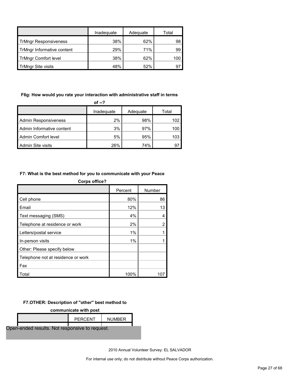|                              | Inadequate | Adequate | Total |
|------------------------------|------------|----------|-------|
| <b>TrMngr Responsiveness</b> | 38%        | 62%      | 98    |
| TrMngr Informative content   | 29%        | 71%      | 99    |
| <b>TrMngr Comfort level</b>  | 38%        | 62%      | 100   |
| <b>TrMngr Site visits</b>    | 48%        | 52%      | 97    |

#### **F6g: How would you rate your interaction with administrative staff in terms**

| of $-2$                     |            |          |       |  |
|-----------------------------|------------|----------|-------|--|
|                             | Inadequate | Adequate | Total |  |
| <b>Admin Responsiveness</b> | 2%         | 98%      | 102   |  |
| Admin Informative content   | 3%         | 97%      | 100   |  |
| Admin Comfort level         | 5%         | 95%      | 103   |  |
| Admin Site visits           | 26%        | 74%      | 97    |  |

#### **F7: What is the best method for you to communicate with your Peace**

| <b>Corps office?</b>               |         |        |
|------------------------------------|---------|--------|
|                                    | Percent | Number |
| Cell phone                         | 80%     | 86     |
| Email                              | 12%     | 13     |
| Text messaging (SMS)               | 4%      | 4      |
| Telephone at residence or work     | 2%      | 2      |
| Letters/postal service             | 1%      |        |
| In-person visits                   | 1%      |        |
| Other: Please specify below        |         |        |
| Telephone not at residence or work |         |        |
| Fax                                |         |        |
| Total                              | 100%    | 107    |

#### **F7.OTHER: Description of "other" best method to**

**communicate with post**

|                                                | PERCENT | <b>NUMBER</b> |  |
|------------------------------------------------|---------|---------------|--|
| Open-ended results. Not responsive to request. |         |               |  |

2010 Annual Volunteer Survey: EL SALVADOR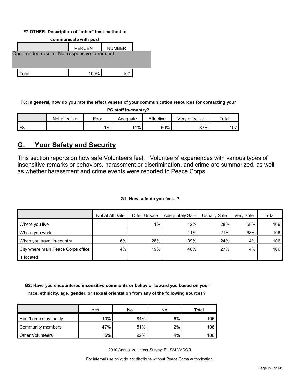#### **F7.OTHER: Description of "other" best method to**

| communicate with post                          |                |               |  |  |  |  |  |  |  |  |
|------------------------------------------------|----------------|---------------|--|--|--|--|--|--|--|--|
|                                                | <b>PERCENT</b> | <b>NUMBER</b> |  |  |  |  |  |  |  |  |
| Open-ended results. Not responsive to request. |                |               |  |  |  |  |  |  |  |  |
|                                                |                |               |  |  |  |  |  |  |  |  |
|                                                |                |               |  |  |  |  |  |  |  |  |
| Total                                          | 100%           | 107           |  |  |  |  |  |  |  |  |

**F8: In general, how do you rate the effectiveness of your communication resources for contacting your** 

| PC staff in-country?                                                      |  |       |     |     |     |     |  |  |  |  |  |  |  |
|---------------------------------------------------------------------------|--|-------|-----|-----|-----|-----|--|--|--|--|--|--|--|
| Effective<br>Total<br>Not effective<br>Verv effective<br>Poor<br>Adeɑuate |  |       |     |     |     |     |  |  |  |  |  |  |  |
| F <sub>8</sub>                                                            |  | $1\%$ | 11% | 50% | 37% | 107 |  |  |  |  |  |  |  |

## <span id="page-27-0"></span>**G. Your Safety and Security**

This section reports on how safe Volunteers feel. Volunteers' experiences with various types of insensitive remarks or behaviors, harassment or discrimination, and crime are summarized, as well as whether harassment and crime events were reported to Peace Corps.

#### **G1: How safe do you feel...?**

|                                    | Not at All Safe | Often Unsafe | Adequately Safe | Usually Safe | Verv Safe | Total |
|------------------------------------|-----------------|--------------|-----------------|--------------|-----------|-------|
| Where you live                     |                 | $1\%$        | 12%             | 28%          | 58%       | 106   |
| Where you work                     |                 |              | 11%             | 21%          | 68%       | 106   |
| When you travel in-country         | 6%              | 28%          | 39%             | 24%          | 4%        | 106   |
| City where main Peace Corps office | 4%              | 19%          | 46%             | 27%          | 4%        | 106   |
| is located                         |                 |              |                 |              |           |       |

**G2: Have you encountered insensitive comments or behavior toward you based on your race, ethnicity, age, gender, or sexual orientation from any of the following sources?**

|                         | Yes | No  | NA | Total |
|-------------------------|-----|-----|----|-------|
| Host/home stay family   | 10% | 84% | 6% | 106   |
| Community members       | 47% | 51% | 2% | 106   |
| <b>Other Volunteers</b> | 5%  | 92% | 4% | 106   |

2010 Annual Volunteer Survey: EL SALVADOR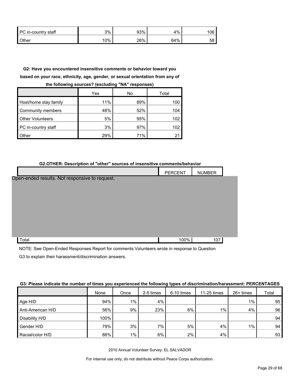| PC in-country staff | 3%  | 93% | 4%  | 06   |
|---------------------|-----|-----|-----|------|
| <b>Other</b>        | 10% | 26% | 64% | 58 I |

## **G2: Have you encountered insensitive comments or behavior toward you based on your race, ethnicity, age, gender, or sexual orientation from any of**

|                         | Yes | No  | Total |
|-------------------------|-----|-----|-------|
| Host/home stay family   | 11% | 89% | 100   |
| Community members       | 48% | 52% | 104   |
| <b>Other Volunteers</b> | 5%  | 95% | 102   |
| PC in-country staff     | 3%  | 97% | 102   |
| Other                   | 29% | 71% | 21    |

#### **the following sources? (excluding "NA" responses)**

#### **G2.OTHER: Description of "other" sources of insensitive comments/behavior**

|                                                | PERCENT | <b>NUMBER</b> |  |
|------------------------------------------------|---------|---------------|--|
| Open-ended results. Not responsive to request. |         |               |  |
|                                                |         |               |  |
|                                                |         |               |  |
|                                                |         |               |  |
|                                                |         |               |  |
|                                                |         |               |  |
|                                                |         |               |  |
| Total                                          | 100%    | 107           |  |

NOTE: See Open-Ended Responses Report for comments Volunteers wrote in response to Question G3 to explain their harassment/discrimination answers.

#### **G3: Please indicate the number of times you experienced the following types of discrimination/harassment: PERCENTAGES**

|                   | None | Once  | 2-5 times | 6-10 times | 11-25 times | $26+$ times | Total |
|-------------------|------|-------|-----------|------------|-------------|-------------|-------|
| Age H/D           | 94%  | $1\%$ | 4%        |            |             | $1\%$       | 95    |
| Anti-American H/D | 56%  | 9%    | 23%       | 6%         | $1\%$       | 4%          | 96    |
| Disability H/D    | 100% |       |           |            |             |             | 94    |
| Gender H/D        | 79%  | 3%    | 7%        | 5%         | 4%          | $1\%$       | 94    |
| Racial/color H/D  | 86%  | $1\%$ | 6%        | 2%         | 4%          |             | 93    |

2010 Annual Volunteer Survey: EL SALVADOR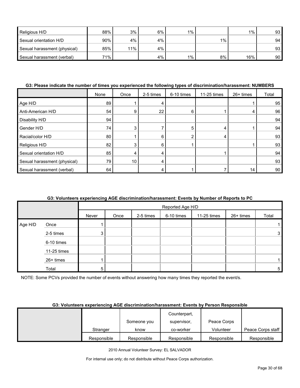| Religious H/D                | 88% | 3%  | 6% | $1\%$ . |       | $1\%$ | 93 |
|------------------------------|-----|-----|----|---------|-------|-------|----|
| Sexual orientation H/D       | 90% | 4%  | 4% |         | $1\%$ |       | 94 |
| Sexual harassment (physical) | 85% | 11% | 4% |         |       |       | 93 |
| Sexual harassment (verbal)   | 71% |     | 4% | $1\%$ . | 8%    | 16%   | 90 |

#### **G3: Please indicate the number of times you experienced the following types of discrimination/harassment: NUMBERS**

|                              | None | Once | 2-5 times | 6-10 times | 11-25 times | 26+ times | Total |
|------------------------------|------|------|-----------|------------|-------------|-----------|-------|
| Age H/D                      | 89   |      |           |            |             |           | 95    |
| Anti-American H/D            | 54   | 9    | 22        | 6          |             | 4         | 96    |
| Disability H/D               | 94   |      |           |            |             |           | 94    |
| Gender H/D                   | 74   | 3    |           |            | 4           |           | 94    |
| Racial/color H/D             | 80   |      | 6         |            | 4           |           | 93    |
| Religious H/D                | 82   |      | 6         |            |             |           | 93    |
| Sexual orientation H/D       | 85   |      |           |            |             |           | 94    |
| Sexual harassment (physical) | 79   | 10   |           |            |             |           | 93    |
| Sexual harassment (verbal)   | 64   |      |           |            |             | 14        | 90    |

#### **G3: Volunteers experiencing AGE discrimination/harassment: Events by Number of Reports to PC**

|         |             |       | Reported Age H/D |           |            |             |           |              |  |  |
|---------|-------------|-------|------------------|-----------|------------|-------------|-----------|--------------|--|--|
|         |             | Never | Once             | 2-5 times | 6-10 times | 11-25 times | 26+ times | Total        |  |  |
| Age H/D | Once        |       |                  |           |            |             |           |              |  |  |
|         | 2-5 times   | 3     |                  |           |            |             |           | $\mathbf{3}$ |  |  |
|         | 6-10 times  |       |                  |           |            |             |           |              |  |  |
|         | 11-25 times |       |                  |           |            |             |           |              |  |  |
|         | 26+ times   |       |                  |           |            |             |           |              |  |  |
|         | Total       | 5     |                  |           |            |             |           | 5            |  |  |

NOTE: Some PCVs provided the number of events without answering how many times they reported the event/s.

#### **G3: Volunteers experiencing AGE discrimination/harassment: Events by Person Responsible**

|             |             | Counterpart, |             |                   |
|-------------|-------------|--------------|-------------|-------------------|
|             | Someone you | supervisor,  | Peace Corps |                   |
| Stranger    | know        | co-worker    | Volunteer   | Peace Corps staff |
| Responsible | Responsible | Responsible  | Responsible | Responsible       |

2010 Annual Volunteer Survey: EL SALVADOR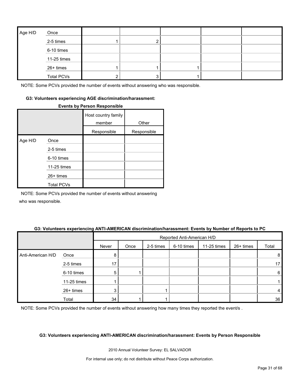| Age H/D | Once              |  |  |  |
|---------|-------------------|--|--|--|
|         | 2-5 times         |  |  |  |
|         | 6-10 times        |  |  |  |
|         | 11-25 times       |  |  |  |
|         | 26+ times         |  |  |  |
|         | <b>Total PCVs</b> |  |  |  |

#### **G3: Volunteers experiencing AGE discrimination/harassment:**

#### **Events by Person Responsible**

|         |                   | Host country family<br>member | Other       |
|---------|-------------------|-------------------------------|-------------|
|         |                   | Responsible                   | Responsible |
| Age H/D | Once              |                               |             |
|         | 2-5 times         |                               |             |
|         | 6-10 times        |                               |             |
|         | 11-25 times       |                               |             |
|         | 26+ times         |                               |             |
|         | <b>Total PCVs</b> |                               |             |

NOTE: Some PCVs provided the number of events without answering who was responsible.

#### **G3: Volunteers experiencing ANTI-AMERICAN discrimination/harassment: Events by Number of Reports to PC**

|                   |             |       | Reported Anti-American H/D |           |            |             |           |                 |
|-------------------|-------------|-------|----------------------------|-----------|------------|-------------|-----------|-----------------|
|                   |             | Never | Once                       | 2-5 times | 6-10 times | 11-25 times | 26+ times | Total           |
| Anti-American H/D | Once        | 8     |                            |           |            |             |           | 8               |
|                   | 2-5 times   | 17    |                            |           |            |             |           | 17              |
|                   | 6-10 times  | 5     |                            |           |            |             |           | $6\phantom{1}6$ |
|                   | 11-25 times |       |                            |           |            |             |           |                 |
|                   | 26+ times   | 3     |                            |           |            |             |           | 4               |
|                   | Total       | 34    |                            |           |            |             |           | 36              |

NOTE: Some PCVs provided the number of events without answering how many times they reported the event/s.

#### **G3: Volunteers experiencing ANTI-AMERICAN discrimination/harassment: Events by Person Responsible**

2010 Annual Volunteer Survey: EL SALVADOR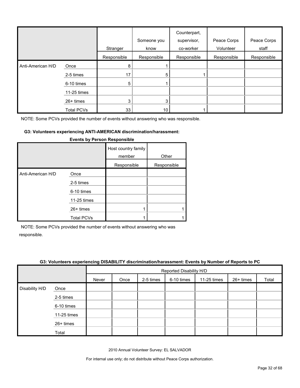|                   |                   | Stranger    | Someone you<br>know | Counterpart,<br>supervisor,<br>co-worker | Peace Corps<br>Volunteer | Peace Corps<br>staff |
|-------------------|-------------------|-------------|---------------------|------------------------------------------|--------------------------|----------------------|
|                   |                   | Responsible | Responsible         | Responsible                              | Responsible              | Responsible          |
| Anti-American H/D | Once              | 8           |                     |                                          |                          |                      |
|                   | 2-5 times         | 17          | 5                   |                                          |                          |                      |
|                   | 6-10 times        | 5           |                     |                                          |                          |                      |
|                   | 11-25 times       |             |                     |                                          |                          |                      |
|                   | 26+ times         | 3           | 3                   |                                          |                          |                      |
|                   | <b>Total PCVs</b> | 33          | 10 <sub>1</sub>     |                                          |                          |                      |

#### **G3: Volunteers experiencing ANTI-AMERICAN discrimination/harassment:**

|                   |                   | Host country family<br>member | Other       |
|-------------------|-------------------|-------------------------------|-------------|
|                   |                   | Responsible                   | Responsible |
| Anti-American H/D | Once              |                               |             |
|                   | 2-5 times         |                               |             |
|                   | 6-10 times        |                               |             |
|                   | 11-25 times       |                               |             |
|                   | 26+ times         |                               |             |
|                   | <b>Total PCVs</b> |                               |             |

#### **Events by Person Responsible**

NOTE: Some PCVs provided the number of events without answering who was responsible.

#### **G3: Volunteers experiencing DISABILITY discrimination/harassment: Events by Number of Reports to PC**

|                |             | Reported Disability H/D |      |           |            |             |           |       |
|----------------|-------------|-------------------------|------|-----------|------------|-------------|-----------|-------|
|                |             | Never                   | Once | 2-5 times | 6-10 times | 11-25 times | 26+ times | Total |
| Disability H/D | Once        |                         |      |           |            |             |           |       |
|                | 2-5 times   |                         |      |           |            |             |           |       |
|                | 6-10 times  |                         |      |           |            |             |           |       |
|                | 11-25 times |                         |      |           |            |             |           |       |
|                | 26+ times   |                         |      |           |            |             |           |       |
|                | Total       |                         |      |           |            |             |           |       |

2010 Annual Volunteer Survey: EL SALVADOR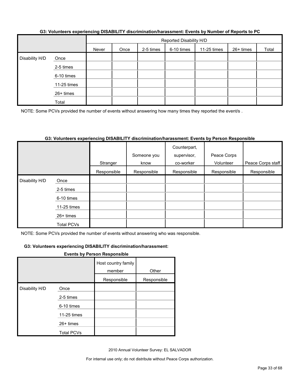|                |             | Reported Disability H/D |      |           |            |             |           |       |
|----------------|-------------|-------------------------|------|-----------|------------|-------------|-----------|-------|
|                |             | Never                   | Once | 2-5 times | 6-10 times | 11-25 times | 26+ times | Total |
| Disability H/D | Once        |                         |      |           |            |             |           |       |
|                | 2-5 times   |                         |      |           |            |             |           |       |
|                | 6-10 times  |                         |      |           |            |             |           |       |
|                | 11-25 times |                         |      |           |            |             |           |       |
|                | 26+ times   |                         |      |           |            |             |           |       |
|                | Total       |                         |      |           |            |             |           |       |

#### **G3: Volunteers experiencing DISABILITY discrimination/harassment: Events by Number of Reports to PC**

NOTE: Some PCVs provided the number of events without answering how many times they reported the event/s.

#### **G3: Volunteers experiencing DISABILITY discrimination/harassment: Events by Person Responsible**

|                |             |             | Someone you | Counterpart,<br>supervisor, | Peace Corps |                   |
|----------------|-------------|-------------|-------------|-----------------------------|-------------|-------------------|
|                |             | Stranger    | know        | co-worker                   | Volunteer   | Peace Corps staff |
|                |             | Responsible | Responsible | Responsible                 | Responsible | Responsible       |
| Disability H/D | Once        |             |             |                             |             |                   |
|                | 2-5 times   |             |             |                             |             |                   |
|                | 6-10 times  |             |             |                             |             |                   |
|                | 11-25 times |             |             |                             |             |                   |
|                | $26+$ times |             |             |                             |             |                   |
|                | Total PCVs  |             |             |                             |             |                   |

NOTE: Some PCVs provided the number of events without answering who was responsible.

#### **G3: Volunteers experiencing DISABILITY discrimination/harassment:**

#### **Events by Person Responsible**

|                |                   | Host country family<br>member | Other       |
|----------------|-------------------|-------------------------------|-------------|
|                |                   | Responsible                   | Responsible |
| Disability H/D | Once              |                               |             |
|                | 2-5 times         |                               |             |
|                | 6-10 times        |                               |             |
|                | 11-25 times       |                               |             |
|                | $26+$ times       |                               |             |
|                | <b>Total PCVs</b> |                               |             |

2010 Annual Volunteer Survey: EL SALVADOR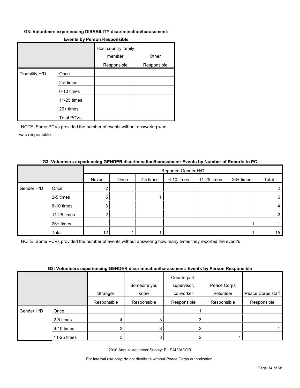#### **G3: Volunteers experiencing DISABILITY discrimination/harassment:**

|                |                   | Host country family<br>member | Other       |
|----------------|-------------------|-------------------------------|-------------|
|                |                   | Responsible                   | Responsible |
| Disability H/D | Once              |                               |             |
|                | 2-5 times         |                               |             |
|                | 6-10 times        |                               |             |
|                | 11-25 times       |                               |             |
|                | 26+ times         |                               |             |
|                | <b>Total PCVs</b> |                               |             |

#### **Events by Person Responsible**

NOTE: Some PCVs provided the number of events without answering who was responsible.

|            |             | Reported Gender H/D |      |           |            |             |           |                |
|------------|-------------|---------------------|------|-----------|------------|-------------|-----------|----------------|
|            |             | Never               | Once | 2-5 times | 6-10 times | 11-25 times | 26+ times | Total          |
| Gender H/D | Once        |                     |      |           |            |             |           | 2              |
|            | 2-5 times   | 5                   |      |           |            |             |           | 6              |
|            | 6-10 times  | 3                   |      |           |            |             |           | 4              |
|            | 11-25 times | 2                   |      |           |            |             |           | $\overline{2}$ |
|            | 26+ times   |                     |      |           |            |             |           |                |
|            | Total       | 12                  |      |           |            |             |           | 15             |

#### **G3: Volunteers experiencing GENDER discrimination/harassment: Events by Number of Reports to PC**

NOTE: Some PCVs provided the number of events without answering how many times they reported the event/s .

#### **G3: Volunteers experiencing GENDER discrimination/harassment: Events by Person Responsible**

|            |             |             | <u>aal talahtaala aykahahahala aarta artaaniiniikkianiikkaaaliikiin atalita kitti raakahahala a</u> |              |             |                   |
|------------|-------------|-------------|-----------------------------------------------------------------------------------------------------|--------------|-------------|-------------------|
|            |             |             |                                                                                                     | Counterpart, |             |                   |
|            |             |             | Someone you                                                                                         | supervisor,  | Peace Corps |                   |
|            |             | Stranger    | know                                                                                                | co-worker    | Volunteer   | Peace Corps staff |
|            |             | Responsible | Responsible                                                                                         | Responsible  | Responsible | Responsible       |
| Gender H/D | Once        |             |                                                                                                     |              |             |                   |
|            | 2-5 times   |             |                                                                                                     |              |             |                   |
|            | 6-10 times  |             | 3                                                                                                   |              |             |                   |
|            | 11-25 times |             | 3                                                                                                   |              |             |                   |

2010 Annual Volunteer Survey: EL SALVADOR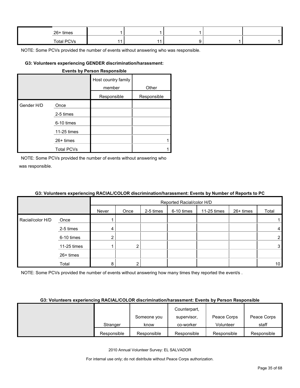| 26+ times         |  |  |  |
|-------------------|--|--|--|
| <b>Total PCVs</b> |  |  |  |

#### **G3: Volunteers experiencing GENDER discrimination/harassment:**

|            |                   | <b>Events by Person Responsible</b> |             |
|------------|-------------------|-------------------------------------|-------------|
|            |                   | Host country family<br>member       | Other       |
|            |                   | Responsible                         | Responsible |
| Gender H/D | Once              |                                     |             |
|            | 2-5 times         |                                     |             |
|            | 6-10 times        |                                     |             |
|            | 11-25 times       |                                     |             |
|            | $26+$ times       |                                     | 1           |
|            | <b>Total PCVs</b> |                                     |             |

NOTE: Some PCVs provided the number of events without answering who was responsible.

#### **G3: Volunteers experiencing RACIAL/COLOR discrimination/harassment: Events by Number of Reports to PC**

|                  |             |       |      |           | Reported Racial/color H/D |             |           |                 |
|------------------|-------------|-------|------|-----------|---------------------------|-------------|-----------|-----------------|
|                  |             | Never | Once | 2-5 times | 6-10 times                | 11-25 times | 26+ times | Total           |
| Racial/color H/D | Once        |       |      |           |                           |             |           |                 |
|                  | 2-5 times   | 4     |      |           |                           |             |           | 4               |
|                  | 6-10 times  |       |      |           |                           |             |           | $\overline{2}$  |
|                  | 11-25 times |       | ົ    |           |                           |             |           | 3               |
|                  | 26+ times   |       |      |           |                           |             |           |                 |
|                  | Total       | 8     |      |           |                           |             |           | 10 <sup>1</sup> |

NOTE: Some PCVs provided the number of events without answering how many times they reported the event/s.

#### **G3: Volunteers experiencing RACIAL/COLOR discrimination/harassment: Events by Person Responsible**

|             |             | Counterpart, |             |             |
|-------------|-------------|--------------|-------------|-------------|
|             | Someone you | supervisor,  | Peace Corps | Peace Corps |
| Stranger    | know        | co-worker    | Volunteer   | staff       |
| Responsible | Responsible | Responsible  | Responsible | Responsible |

2010 Annual Volunteer Survey: EL SALVADOR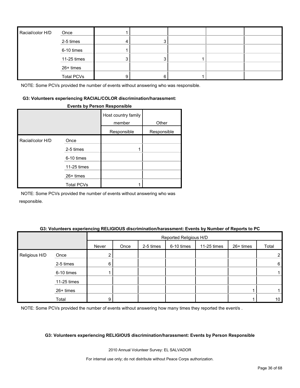| Racial/color H/D | Once              |  |  |  |
|------------------|-------------------|--|--|--|
|                  | 2-5 times         |  |  |  |
|                  | 6-10 times        |  |  |  |
|                  | 11-25 times       |  |  |  |
|                  | 26+ times         |  |  |  |
|                  | <b>Total PCVs</b> |  |  |  |

#### **G3: Volunteers experiencing RACIAL/COLOR discrimination/harassment:**

#### **Events by Person Responsible**

|                  |                   | Host country family<br>member | Other       |
|------------------|-------------------|-------------------------------|-------------|
|                  |                   | Responsible                   | Responsible |
| Racial/color H/D | Once              |                               |             |
|                  | 2-5 times         |                               |             |
|                  | 6-10 times        |                               |             |
|                  | 11-25 times       |                               |             |
|                  | $26+$ times       |                               |             |
|                  | <b>Total PCVs</b> |                               |             |

NOTE: Some PCVs provided the number of events without answering who was responsible.

#### **G3: Volunteers experiencing RELIGIOUS discrimination/harassment: Events by Number of Reports to PC**

|               |             |       | Reported Religious H/D |           |            |             |           |                 |  |
|---------------|-------------|-------|------------------------|-----------|------------|-------------|-----------|-----------------|--|
|               |             | Never | Once                   | 2-5 times | 6-10 times | 11-25 times | 26+ times | Total           |  |
| Religious H/D | Once        |       |                        |           |            |             |           | $\overline{2}$  |  |
|               | 2-5 times   | 6     |                        |           |            |             |           | 6               |  |
|               | 6-10 times  |       |                        |           |            |             |           |                 |  |
|               | 11-25 times |       |                        |           |            |             |           |                 |  |
|               | 26+ times   |       |                        |           |            |             |           |                 |  |
|               | Total       | 9     |                        |           |            |             |           | 10 <sup>°</sup> |  |

NOTE: Some PCVs provided the number of events without answering how many times they reported the event/s.

#### **G3: Volunteers experiencing RELIGIOUS discrimination/harassment: Events by Person Responsible**

2010 Annual Volunteer Survey: EL SALVADOR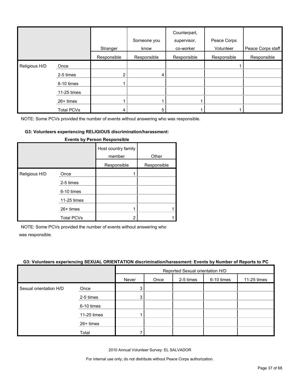|               |                   | Stranger    | Someone you<br>know | Counterpart,<br>supervisor,<br>co-worker | Peace Corps<br>Volunteer | Peace Corps staff |
|---------------|-------------------|-------------|---------------------|------------------------------------------|--------------------------|-------------------|
|               |                   | Responsible | Responsible         | Responsible                              | Responsible              | Responsible       |
| Religious H/D | Once              |             |                     |                                          |                          |                   |
|               | 2-5 times         | 2           | 4                   |                                          |                          |                   |
|               | 6-10 times        |             |                     |                                          |                          |                   |
|               | 11-25 times       |             |                     |                                          |                          |                   |
|               | 26+ times         |             |                     |                                          |                          |                   |
|               | <b>Total PCVs</b> | 4           | 5                   |                                          |                          |                   |

#### **G3: Volunteers experiencing RELIGIOUS discrimination/harassment:**

|               |                   | Host country family<br>member | Other       |
|---------------|-------------------|-------------------------------|-------------|
|               |                   | Responsible                   | Responsible |
| Religious H/D | Once              |                               |             |
|               | 2-5 times         |                               |             |
|               | 6-10 times        |                               |             |
|               | 11-25 times       |                               |             |
|               | $26+$ times       |                               |             |
|               | <b>Total PCVs</b> | 2                             |             |

#### **Events by Person Responsible**

NOTE: Some PCVs provided the number of events without answering who

was responsible.

#### **G3: Volunteers experiencing SEXUAL ORIENTATION discrimination/harassment: Events by Number of Reports to PC**

|                        |             |       | Reported Sexual orientation H/D |           |            |             |  |
|------------------------|-------------|-------|---------------------------------|-----------|------------|-------------|--|
|                        |             | Never | Once                            | 2-5 times | 6-10 times | 11-25 times |  |
| Sexual orientation H/D | Once        | 3     |                                 |           |            |             |  |
|                        | 2-5 times   |       |                                 |           |            |             |  |
|                        | 6-10 times  |       |                                 |           |            |             |  |
|                        | 11-25 times |       |                                 |           |            |             |  |
|                        | 26+ times   |       |                                 |           |            |             |  |
|                        | Total       |       |                                 |           |            |             |  |

2010 Annual Volunteer Survey: EL SALVADOR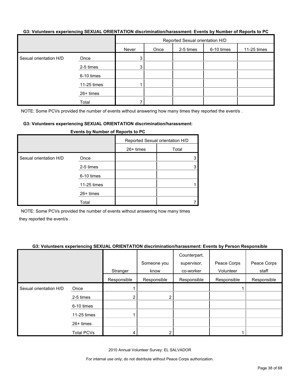#### **G3: Volunteers experiencing SEXUAL ORIENTATION discrimination/harassment: Events by Number of Reports to PC**

|                        |             | Reported Sexual orientation H/D |      |           |            |             |  |
|------------------------|-------------|---------------------------------|------|-----------|------------|-------------|--|
|                        |             | Never                           | Once | 2-5 times | 6-10 times | 11-25 times |  |
| Sexual orientation H/D | Once        | 3                               |      |           |            |             |  |
|                        | 2-5 times   | 3 <sub>l</sub>                  |      |           |            |             |  |
|                        | 6-10 times  |                                 |      |           |            |             |  |
|                        | 11-25 times |                                 |      |           |            |             |  |
|                        | 26+ times   |                                 |      |           |            |             |  |
|                        | Total       |                                 |      |           |            |             |  |

NOTE: Some PCVs provided the number of events without answering how many times they reported the event/s.

#### **G3: Volunteers experiencing SEXUAL ORIENTATION discrimination/harassment:**

|                        |             | Reported Sexual orientation H/D |       |
|------------------------|-------------|---------------------------------|-------|
|                        |             | $26+$ times                     | Total |
| Sexual orientation H/D | Once        |                                 | 3     |
|                        | 2-5 times   |                                 | 3     |
|                        | 6-10 times  |                                 |       |
|                        | 11-25 times |                                 |       |
|                        | 26+ times   |                                 |       |
|                        | Total       |                                 |       |

#### **Events by Number of Reports to PC**

NOTE: Some PCVs provided the number of events without answering how many times they reported the event/s .

#### **G3: Volunteers experiencing SEXUAL ORIENTATION discrimination/harassment: Events by Person Responsible**

|                        |                   | Stranger    | Someone you<br>know | Counterpart,<br>supervisor,<br>co-worker | Peace Corps<br>Volunteer | Peace Corps<br>staff |
|------------------------|-------------------|-------------|---------------------|------------------------------------------|--------------------------|----------------------|
|                        |                   | Responsible | Responsible         | Responsible                              | Responsible              | Responsible          |
| Sexual orientation H/D | Once              |             |                     |                                          |                          |                      |
|                        | 2-5 times         |             | 2                   |                                          |                          |                      |
|                        | 6-10 times        |             |                     |                                          |                          |                      |
|                        | 11-25 times       |             |                     |                                          |                          |                      |
|                        | 26+ times         |             |                     |                                          |                          |                      |
|                        | <b>Total PCVs</b> |             |                     |                                          |                          |                      |

2010 Annual Volunteer Survey: EL SALVADOR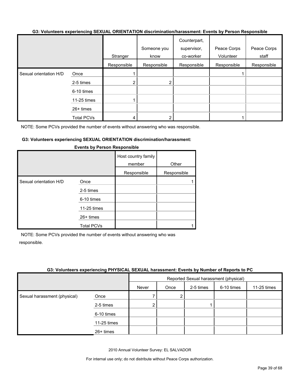#### **G3: Volunteers experiencing SEXUAL ORIENTATION discrimination/harassment: Events by Person Responsible**

|                        |                   |             |             | Counterpart, |             |             |
|------------------------|-------------------|-------------|-------------|--------------|-------------|-------------|
|                        |                   |             | Someone you | supervisor,  | Peace Corps | Peace Corps |
|                        |                   | Stranger    | know        | co-worker    | Volunteer   | staff       |
|                        |                   | Responsible | Responsible | Responsible  | Responsible | Responsible |
| Sexual orientation H/D | Once              |             |             |              |             |             |
|                        | 2-5 times         | ⌒           | 2           |              |             |             |
|                        | 6-10 times        |             |             |              |             |             |
|                        | 11-25 times       |             |             |              |             |             |
|                        | $26+$ times       |             |             |              |             |             |
|                        | <b>Total PCVs</b> | 4           | ⌒           |              |             |             |

NOTE: Some PCVs provided the number of events without answering who was responsible.

#### **G3: Volunteers experiencing SEXUAL ORIENTATION discrimination/harassment:**

|                        |                   | Host country family<br>member | Other       |
|------------------------|-------------------|-------------------------------|-------------|
|                        |                   | Responsible                   | Responsible |
| Sexual orientation H/D | Once              |                               |             |
|                        | 2-5 times         |                               |             |
|                        | 6-10 times        |                               |             |
|                        | 11-25 times       |                               |             |
|                        | $26+$ times       |                               |             |
|                        | <b>Total PCVs</b> |                               |             |

#### **Events by Person Responsible**

NOTE: Some PCVs provided the number of events without answering who was responsible.

#### **G3: Volunteers experiencing PHYSICAL SEXUAL harassment: Events by Number of Reports to PC**

|                              |             | Reported Sexual harassment (physical) |      |           |            |             |
|------------------------------|-------------|---------------------------------------|------|-----------|------------|-------------|
|                              |             | Never                                 | Once | 2-5 times | 6-10 times | 11-25 times |
| Sexual harassment (physical) | Once        |                                       | 2    |           |            |             |
|                              | 2-5 times   | 2                                     |      |           |            |             |
|                              | 6-10 times  |                                       |      |           |            |             |
|                              | 11-25 times |                                       |      |           |            |             |
|                              | $26+$ times |                                       |      |           |            |             |

2010 Annual Volunteer Survey: EL SALVADOR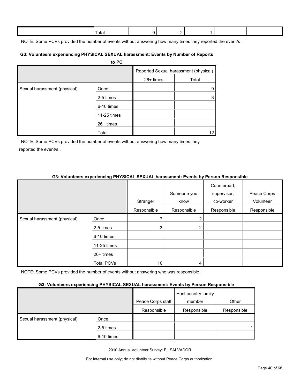| <sup>⊤</sup> otai |  |  |  |
|-------------------|--|--|--|
|                   |  |  |  |

NOTE: Some PCVs provided the number of events without answering how many times they reported the event/s.

#### **G3: Volunteers experiencing PHYSICAL SEXUAL harassment: Events by Number of Reports**

|                              | to PC       |           |                                       |
|------------------------------|-------------|-----------|---------------------------------------|
|                              |             |           | Reported Sexual harassment (physical) |
|                              |             | 26+ times | Total                                 |
| Sexual harassment (physical) | Once        |           | 9                                     |
|                              | 2-5 times   |           | 3                                     |
|                              | 6-10 times  |           |                                       |
|                              | 11-25 times |           |                                       |
|                              | $26+$ times |           |                                       |
|                              | Total       |           | 12                                    |

NOTE: Some PCVs provided the number of events without answering how many times they reported the event/s .

#### **G3: Volunteers experiencing PHYSICAL SEXUAL harassment: Events by Person Responsible**

|                              |                   | Stranger    | Someone you<br>know | Counterpart,<br>supervisor,<br>co-worker | Peace Corps<br>Volunteer |
|------------------------------|-------------------|-------------|---------------------|------------------------------------------|--------------------------|
|                              |                   | Responsible | Responsible         | Responsible                              | Responsible              |
| Sexual harassment (physical) | Once              |             | $\overline{2}$      |                                          |                          |
|                              | 2-5 times         | 3           | 2                   |                                          |                          |
|                              | 6-10 times        |             |                     |                                          |                          |
|                              | 11-25 times       |             |                     |                                          |                          |
|                              | $26+$ times       |             |                     |                                          |                          |
|                              | <b>Total PCVs</b> | 10          | 4                   |                                          |                          |

NOTE: Some PCVs provided the number of events without answering who was responsible.

#### **G3: Volunteers experiencing PHYSICAL SEXUAL harassment: Events by Person Responsible**

|                              |            | Peace Corps staff | Host country family<br>member | Other       |
|------------------------------|------------|-------------------|-------------------------------|-------------|
|                              |            | Responsible       | Responsible                   | Responsible |
| Sexual harassment (physical) | Once       |                   |                               |             |
|                              | 2-5 times  |                   |                               |             |
|                              | 6-10 times |                   |                               |             |

2010 Annual Volunteer Survey: EL SALVADOR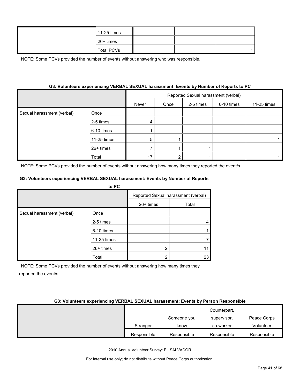| 11-25 times       |  |  |
|-------------------|--|--|
| 26+ times         |  |  |
| <b>Total PCVs</b> |  |  |

#### **G3: Volunteers experiencing VERBAL SEXUAL harassment: Events by Number of Reports to PC**

|                            |             | Reported Sexual harassment (verbal) |      |           |            |             |
|----------------------------|-------------|-------------------------------------|------|-----------|------------|-------------|
|                            |             | Never                               | Once | 2-5 times | 6-10 times | 11-25 times |
| Sexual harassment (verbal) | Once        |                                     |      |           |            |             |
|                            | 2-5 times   |                                     |      |           |            |             |
|                            | 6-10 times  |                                     |      |           |            |             |
|                            | 11-25 times | 5                                   |      |           |            |             |
|                            | 26+ times   |                                     |      |           |            |             |
|                            | Total       | 17                                  |      |           |            |             |

NOTE: Some PCVs provided the number of events without answering how many times they reported the event/s.

#### **G3: Volunteers experiencing VERBAL SEXUAL harassment: Events by Number of Reports**

|                            | to PC       |           |                                     |
|----------------------------|-------------|-----------|-------------------------------------|
|                            |             |           | Reported Sexual harassment (verbal) |
|                            |             | 26+ times | Total                               |
| Sexual harassment (verbal) | Once        |           |                                     |
|                            | 2-5 times   |           |                                     |
|                            | 6-10 times  |           |                                     |
|                            | 11-25 times |           |                                     |
|                            | $26+$ times | າ         |                                     |
|                            | Total       | n         | 23                                  |

NOTE: Some PCVs provided the number of events without answering how many times they reported the event/s .

#### **G3: Volunteers experiencing VERBAL SEXUAL harassment: Events by Person Responsible**

|             |             | Counterpart, |             |
|-------------|-------------|--------------|-------------|
|             | Someone you | supervisor,  | Peace Corps |
| Stranger    | know        | co-worker    | Volunteer   |
| Responsible | Responsible | Responsible  | Responsible |

2010 Annual Volunteer Survey: EL SALVADOR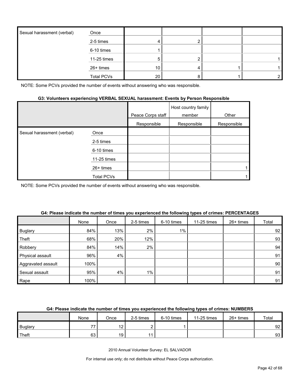| Sexual harassment (verbal) | Once              |    |  |  |
|----------------------------|-------------------|----|--|--|
|                            | 2-5 times         |    |  |  |
|                            | 6-10 times        |    |  |  |
|                            | 11-25 times       | 5. |  |  |
|                            | 26+ times         | 10 |  |  |
|                            | <b>Total PCVs</b> | 20 |  |  |

#### **G3: Volunteers experiencing VERBAL SEXUAL harassment: Events by Person Responsible**

|                            |             | Peace Corps staff | Host country family<br>member | Other       |
|----------------------------|-------------|-------------------|-------------------------------|-------------|
|                            |             | Responsible       | Responsible                   | Responsible |
| Sexual harassment (verbal) | Once        |                   |                               |             |
|                            | 2-5 times   |                   |                               |             |
|                            | 6-10 times  |                   |                               |             |
|                            | 11-25 times |                   |                               |             |
|                            | $26+$ times |                   |                               |             |
|                            | Total PCVs  |                   |                               |             |

NOTE: Some PCVs provided the number of events without answering who was responsible.

|                    | None | Once | 2-5 times | 6-10 times | 11-25 times | 26+ times | Total |
|--------------------|------|------|-----------|------------|-------------|-----------|-------|
| <b>Buglary</b>     | 84%  | 13%  | 2%        | $1\%$      |             |           | 92    |
| Theft              | 68%  | 20%  | 12%       |            |             |           | 93    |
| Robbery            | 84%  | 14%  | 2%        |            |             |           | 94    |
| Physical assault   | 96%  | 4%   |           |            |             |           | 91    |
| Aggravated assault | 100% |      |           |            |             |           | 90    |
| Sexual assault     | 95%  | 4%   | $1\%$     |            |             |           | 91    |
| Rape               | 100% |      |           |            |             |           | 91    |

#### **G4: Please indicate the number of times you experienced the following types of crimes: PERCENTAGES**

#### **G4: Please indicate the number of times you experienced the following types of crimes: NUMBERS**

|                | None | Once            | 2-5 times | 6-10 times | 11-25 times | 26+ times | Total           |
|----------------|------|-----------------|-----------|------------|-------------|-----------|-----------------|
| <b>Buglary</b> | --   | ៱<br>$\sim$     |           |            |             |           | 92 <sub>1</sub> |
| Theft          | 63   | 19 <sub>1</sub> |           |            |             |           | 93              |

2010 Annual Volunteer Survey: EL SALVADOR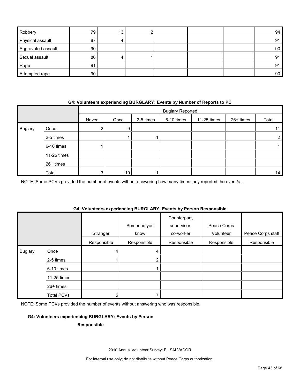| Robbery            | 79 | 13 |  |  | 94 |
|--------------------|----|----|--|--|----|
| Physical assault   | 87 |    |  |  | 91 |
| Aggravated assault | 90 |    |  |  | 90 |
| Sexual assault     | 86 |    |  |  | 91 |
| Rape               | 91 |    |  |  | 91 |
| Attempted rape     | 90 |    |  |  | 90 |

#### **G4: Volunteers experiencing BURGLARY: Events by Number of Reports to PC**

|                |             |       | <b>Buglary Reported</b> |           |            |             |           |       |
|----------------|-------------|-------|-------------------------|-----------|------------|-------------|-----------|-------|
|                |             | Never | Once                    | 2-5 times | 6-10 times | 11-25 times | 26+ times | Total |
| <b>Buglary</b> | Once        | ے     | 9                       |           |            |             |           | 11    |
|                | 2-5 times   |       |                         |           |            |             |           |       |
|                | 6-10 times  |       |                         |           |            |             |           |       |
|                | 11-25 times |       |                         |           |            |             |           |       |
|                | 26+ times   |       |                         |           |            |             |           |       |
|                | Total       | 3     | 10                      |           |            |             |           | 14    |

NOTE: Some PCVs provided the number of events without answering how many times they reported the event/s .

#### **G4: Volunteers experiencing BURGLARY: Events by Person Responsible**

|                |                   | Stranger    | Someone you<br>know | Counterpart,<br>supervisor,<br>co-worker | Peace Corps<br>Volunteer | Peace Corps staff |
|----------------|-------------------|-------------|---------------------|------------------------------------------|--------------------------|-------------------|
|                |                   | Responsible | Responsible         | Responsible                              | Responsible              | Responsible       |
| <b>Buglary</b> | Once              | 4           | 4                   |                                          |                          |                   |
|                | 2-5 times         |             | 2                   |                                          |                          |                   |
|                | 6-10 times        |             |                     |                                          |                          |                   |
|                | 11-25 times       |             |                     |                                          |                          |                   |
|                | 26+ times         |             |                     |                                          |                          |                   |
|                | <b>Total PCVs</b> | 5           |                     |                                          |                          |                   |

NOTE: Some PCVs provided the number of events without answering who was responsible.

#### **G4: Volunteers experiencing BURGLARY: Events by Person**

#### **Responsible**

2010 Annual Volunteer Survey: EL SALVADOR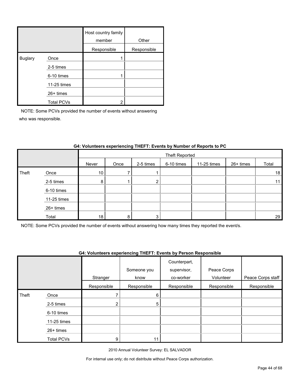|                |                   | Host country family<br>member | Other       |
|----------------|-------------------|-------------------------------|-------------|
|                |                   | Responsible                   | Responsible |
| <b>Buglary</b> | Once              |                               |             |
|                | 2-5 times         |                               |             |
|                | 6-10 times        |                               |             |
|                | 11-25 times       |                               |             |
|                | $26+$ times       |                               |             |
|                | <b>Total PCVs</b> | າ                             |             |

|       |             |                 | Theft Reported |           |            |             |           |       |  |
|-------|-------------|-----------------|----------------|-----------|------------|-------------|-----------|-------|--|
|       |             | Never           | Once           | 2-5 times | 6-10 times | 11-25 times | 26+ times | Total |  |
| Theft | Once        | 10              |                |           |            |             |           | 18    |  |
|       | 2-5 times   | 8               |                | ົ         |            |             |           | 11    |  |
|       | 6-10 times  |                 |                |           |            |             |           |       |  |
|       | 11-25 times |                 |                |           |            |             |           |       |  |
|       | 26+ times   |                 |                |           |            |             |           |       |  |
|       | Total       | 18 <sub>1</sub> | 8              | 3         |            |             |           | 29    |  |

#### **G4: Volunteers experiencing THEFT: Events by Number of Reports to PC**

NOTE: Some PCVs provided the number of events without answering how many times they reported the event/s.

#### **G4: Volunteers experiencing THEFT: Events by Person Responsible**

|       |                   |                |             | Counterpart, |             |                   |
|-------|-------------------|----------------|-------------|--------------|-------------|-------------------|
|       |                   |                | Someone you | supervisor,  | Peace Corps |                   |
|       |                   | Stranger       | know        | co-worker    | Volunteer   | Peace Corps staff |
|       |                   | Responsible    | Responsible | Responsible  | Responsible | Responsible       |
| Theft | Once              |                | 6           |              |             |                   |
|       | 2-5 times         | $\overline{2}$ | 5           |              |             |                   |
|       | 6-10 times        |                |             |              |             |                   |
|       | 11-25 times       |                |             |              |             |                   |
|       | $26+$ times       |                |             |              |             |                   |
|       | <b>Total PCVs</b> | 9              | 11          |              |             |                   |

2010 Annual Volunteer Survey: EL SALVADOR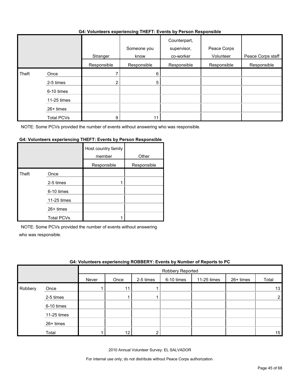#### **G4: Volunteers experiencing THEFT: Events by Person Responsible**

|       |                   | .           | $\sim$              | .                                        |                          |                   |
|-------|-------------------|-------------|---------------------|------------------------------------------|--------------------------|-------------------|
|       |                   | Stranger    | Someone you<br>know | Counterpart,<br>supervisor,<br>co-worker | Peace Corps<br>Volunteer | Peace Corps staff |
|       |                   | Responsible | Responsible         | Responsible                              | Responsible              | Responsible       |
| Theft | Once              |             | 6                   |                                          |                          |                   |
|       | 2-5 times         | 2           | 5                   |                                          |                          |                   |
|       | 6-10 times        |             |                     |                                          |                          |                   |
|       | 11-25 times       |             |                     |                                          |                          |                   |
|       | 26+ times         |             |                     |                                          |                          |                   |
|       | <b>Total PCVs</b> | 9           |                     |                                          |                          |                   |

NOTE: Some PCVs provided the number of events without answering who was responsible.

#### **G4: Volunteers experiencing THEFT: Events by Person Responsible**

|       |                   | Host country family<br>member | Other       |
|-------|-------------------|-------------------------------|-------------|
|       |                   | Responsible                   | Responsible |
| Theft | Once              |                               |             |
|       | 2-5 times         |                               |             |
|       | 6-10 times        |                               |             |
|       | 11-25 times       |                               |             |
|       | $26+$ times       |                               |             |
|       | <b>Total PCVs</b> |                               |             |

NOTE: Some PCVs provided the number of events without answering

who was responsible.

|         | G4: Volunteers experiencing ROBBERY: Events by Number of Reports to PC |       |                  |           |            |             |             |       |  |  |  |  |
|---------|------------------------------------------------------------------------|-------|------------------|-----------|------------|-------------|-------------|-------|--|--|--|--|
|         |                                                                        |       | Robbery Reported |           |            |             |             |       |  |  |  |  |
|         |                                                                        | Never | Once             | 2-5 times | 6-10 times | 11-25 times | $26+$ times | Total |  |  |  |  |
| Robbery | Once                                                                   |       | 11               |           |            |             |             | 13    |  |  |  |  |
|         | 2-5 times                                                              |       |                  |           |            |             |             |       |  |  |  |  |
|         | 6-10 times                                                             |       |                  |           |            |             |             |       |  |  |  |  |
|         | 11-25 times                                                            |       |                  |           |            |             |             |       |  |  |  |  |
|         | 26+ times                                                              |       |                  |           |            |             |             |       |  |  |  |  |
|         | Total                                                                  |       | $12 \,$          |           |            |             |             | 15    |  |  |  |  |

2010 Annual Volunteer Survey: EL SALVADOR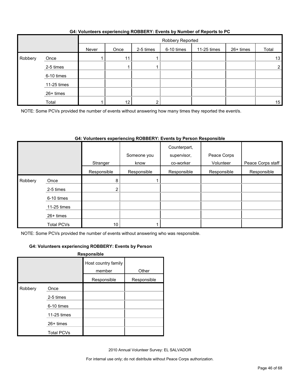|         |             |       |      | Robbery Reported |            |             |           |                |
|---------|-------------|-------|------|------------------|------------|-------------|-----------|----------------|
|         |             | Never | Once | 2-5 times        | 6-10 times | 11-25 times | 26+ times | Total          |
| Robbery | Once        |       | 11   |                  |            |             |           | 13             |
|         | 2-5 times   |       |      |                  |            |             |           | $\overline{2}$ |
|         | 6-10 times  |       |      |                  |            |             |           |                |
|         | 11-25 times |       |      |                  |            |             |           |                |
|         | 26+ times   |       |      |                  |            |             |           |                |
|         | Total       |       | 12   |                  |            |             |           | 15             |

#### **G4: Volunteers experiencing ROBBERY: Events by Number of Reports to PC**

NOTE: Some PCVs provided the number of events without answering how many times they reported the event/s.

#### **G4: Volunteers experiencing ROBBERY: Events by Person Responsible**

|         |             |                | Someone you | Counterpart,<br>supervisor, | Peace Corps |                   |
|---------|-------------|----------------|-------------|-----------------------------|-------------|-------------------|
|         |             | Stranger       | know        | co-worker                   | Volunteer   | Peace Corps staff |
|         |             | Responsible    | Responsible | Responsible                 | Responsible | Responsible       |
| Robbery | Once        | 8              |             |                             |             |                   |
|         | 2-5 times   | 2 <sub>1</sub> |             |                             |             |                   |
|         | 6-10 times  |                |             |                             |             |                   |
|         | 11-25 times |                |             |                             |             |                   |
|         | $26+$ times |                |             |                             |             |                   |
|         | Total PCVs  | 10             |             |                             |             |                   |

NOTE: Some PCVs provided the number of events without answering who was responsible.

#### **G4: Volunteers experiencing ROBBERY: Events by Person**

|         |                   | Responsible                   |             |
|---------|-------------------|-------------------------------|-------------|
|         |                   | Host country family<br>member | Other       |
|         |                   | Responsible                   | Responsible |
| Robbery | Once              |                               |             |
|         | 2-5 times         |                               |             |
|         | 6-10 times        |                               |             |
|         | 11-25 times       |                               |             |
|         | 26+ times         |                               |             |
|         | <b>Total PCVs</b> |                               |             |

2010 Annual Volunteer Survey: EL SALVADOR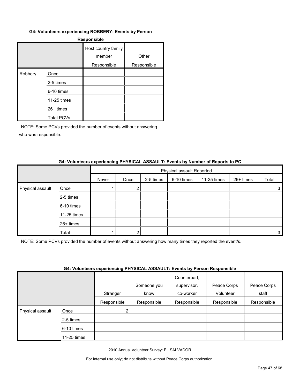#### **G4: Volunteers experiencing ROBBERY: Events by Person**

| <b>Responsible</b> |                   |                               |             |  |  |  |  |  |
|--------------------|-------------------|-------------------------------|-------------|--|--|--|--|--|
|                    |                   | Host country family<br>member | Other       |  |  |  |  |  |
|                    |                   | Responsible                   | Responsible |  |  |  |  |  |
| Robbery            | Once              |                               |             |  |  |  |  |  |
|                    | 2-5 times         |                               |             |  |  |  |  |  |
|                    | 6-10 times        |                               |             |  |  |  |  |  |
|                    | 11-25 times       |                               |             |  |  |  |  |  |
|                    | 26+ times         |                               |             |  |  |  |  |  |
|                    | <b>Total PCVs</b> |                               |             |  |  |  |  |  |

NOTE: Some PCVs provided the number of events without answering who was responsible.

#### **G4: Volunteers experiencing PHYSICAL ASSAULT: Events by Number of Reports to PC**

|                  |             | Physical assault Reported |      |           |            |             |           |       |
|------------------|-------------|---------------------------|------|-----------|------------|-------------|-----------|-------|
|                  |             | Never                     | Once | 2-5 times | 6-10 times | 11-25 times | 26+ times | Total |
| Physical assault | Once        |                           | 2    |           |            |             |           | 3.    |
|                  | 2-5 times   |                           |      |           |            |             |           |       |
|                  | 6-10 times  |                           |      |           |            |             |           |       |
|                  | 11-25 times |                           |      |           |            |             |           |       |
|                  | 26+ times   |                           |      |           |            |             |           |       |
|                  | Total       |                           |      |           |            |             |           | 3     |

NOTE: Some PCVs provided the number of events without answering how many times they reported the event/s.

#### **G4: Volunteers experiencing PHYSICAL ASSAULT: Events by Person Responsible**

|                  |             | . . <b>.</b> |             | .<br>Counterpart, |             |             |
|------------------|-------------|--------------|-------------|-------------------|-------------|-------------|
|                  |             |              | Someone you | supervisor,       | Peace Corps | Peace Corps |
|                  |             | Stranger     | know        | co-worker         | Volunteer   | staff       |
|                  |             | Responsible  | Responsible | Responsible       | Responsible | Responsible |
| Physical assault | Once        | ◠            |             |                   |             |             |
|                  | 2-5 times   |              |             |                   |             |             |
|                  | 6-10 times  |              |             |                   |             |             |
|                  | 11-25 times |              |             |                   |             |             |

2010 Annual Volunteer Survey: EL SALVADOR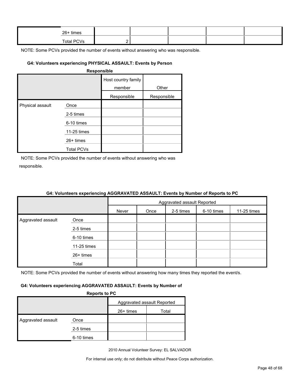| 26+ times         |  |  |  |
|-------------------|--|--|--|
| <b>Total PCVs</b> |  |  |  |

#### **G4: Volunteers experiencing PHYSICAL ASSAULT: Events by Person**

| <b>Responsible</b> |
|--------------------|
|--------------------|

|                  |                   | Host country family<br>member | Other       |
|------------------|-------------------|-------------------------------|-------------|
|                  |                   | Responsible                   | Responsible |
| Physical assault | Once              |                               |             |
|                  | 2-5 times         |                               |             |
|                  | 6-10 times        |                               |             |
|                  | 11-25 times       |                               |             |
|                  | $26+$ times       |                               |             |
|                  | <b>Total PCVs</b> |                               |             |

NOTE: Some PCVs provided the number of events without answering who was responsible.

|                    |             | Aggravated assault Reported |      |           |            |             |  |
|--------------------|-------------|-----------------------------|------|-----------|------------|-------------|--|
|                    |             | Never                       | Once | 2-5 times | 6-10 times | 11-25 times |  |
| Aggravated assault | Once        |                             |      |           |            |             |  |
|                    | 2-5 times   |                             |      |           |            |             |  |
|                    | 6-10 times  |                             |      |           |            |             |  |
|                    | 11-25 times |                             |      |           |            |             |  |
|                    | 26+ times   |                             |      |           |            |             |  |
|                    | Total       |                             |      |           |            |             |  |

#### **G4: Volunteers experiencing AGGRAVATED ASSAULT: Events by Number of Reports to PC**

NOTE: Some PCVs provided the number of events without answering how many times they reported the event/s.

#### **G4: Volunteers experiencing AGGRAVATED ASSAULT: Events by Number of**

| <b>Reports to PC</b> |  |
|----------------------|--|
|                      |  |

|                    |            | Aggravated assault Reported |       |  |  |
|--------------------|------------|-----------------------------|-------|--|--|
|                    |            | 26+ times                   | Total |  |  |
| Aggravated assault | Once       |                             |       |  |  |
|                    | 2-5 times  |                             |       |  |  |
|                    | 6-10 times |                             |       |  |  |

2010 Annual Volunteer Survey: EL SALVADOR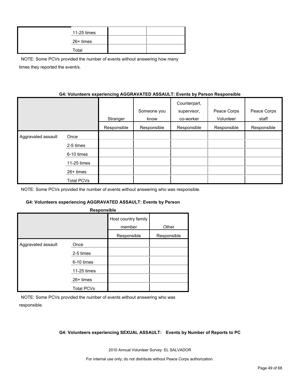| 11-25 times |  |
|-------------|--|
| 26+ times   |  |
| Total       |  |

NOTE: Some PCVs provided the number of events without answering how many times they reported the event/s.

#### **G4: Volunteers experiencing AGGRAVATED ASSAULT: Events by Person Responsible**

|                    |                   | Stranger    | Someone you<br>know | Counterpart,<br>supervisor,<br>co-worker | Peace Corps<br>Volunteer | Peace Corps<br>staff |
|--------------------|-------------------|-------------|---------------------|------------------------------------------|--------------------------|----------------------|
|                    |                   | Responsible | Responsible         | Responsible                              | Responsible              | Responsible          |
| Aggravated assault | Once              |             |                     |                                          |                          |                      |
|                    | 2-5 times         |             |                     |                                          |                          |                      |
|                    | 6-10 times        |             |                     |                                          |                          |                      |
|                    | 11-25 times       |             |                     |                                          |                          |                      |
|                    | $26+$ times       |             |                     |                                          |                          |                      |
|                    | <b>Total PCVs</b> |             |                     |                                          |                          |                      |

NOTE: Some PCVs provided the number of events without answering who was responsible.

#### **G4: Volunteers experiencing AGGRAVATED ASSAULT: Events by Person**

| Host country family<br>member<br>Other<br>Responsible<br>Responsible<br>Aggravated assault<br>Once | Responsible |  |  |  |  |  |  |  |  |
|----------------------------------------------------------------------------------------------------|-------------|--|--|--|--|--|--|--|--|
|                                                                                                    |             |  |  |  |  |  |  |  |  |
|                                                                                                    |             |  |  |  |  |  |  |  |  |
|                                                                                                    |             |  |  |  |  |  |  |  |  |
| 2-5 times                                                                                          |             |  |  |  |  |  |  |  |  |
| 6-10 times                                                                                         |             |  |  |  |  |  |  |  |  |
| 11-25 times                                                                                        |             |  |  |  |  |  |  |  |  |
| 26+ times                                                                                          |             |  |  |  |  |  |  |  |  |
| <b>Total PCVs</b>                                                                                  |             |  |  |  |  |  |  |  |  |

NOTE: Some PCVs provided the number of events without answering who was responsible.

#### **G4: Volunteers experiencing SEXUAL ASSAULT: Events by Number of Reports to PC**

2010 Annual Volunteer Survey: EL SALVADOR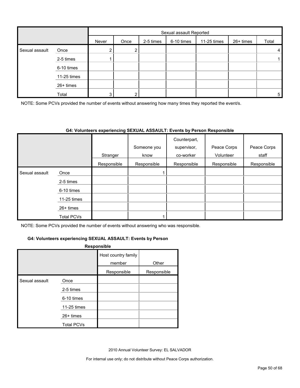|                |             |                | Sexual assault Reported |           |            |             |           |       |
|----------------|-------------|----------------|-------------------------|-----------|------------|-------------|-----------|-------|
|                |             | Never          | Once                    | 2-5 times | 6-10 times | 11-25 times | 26+ times | Total |
| Sexual assault | Once        | $\overline{2}$ | ົ                       |           |            |             |           | 4     |
|                | 2-5 times   |                |                         |           |            |             |           |       |
|                | 6-10 times  |                |                         |           |            |             |           |       |
|                | 11-25 times |                |                         |           |            |             |           |       |
|                | 26+ times   |                |                         |           |            |             |           |       |
|                | Total       | 3              | ົ                       |           |            |             |           | 5     |

NOTE: Some PCVs provided the number of events without answering how many times they reported the event/s.

#### **G4: Volunteers experiencing SEXUAL ASSAULT: Events by Person Responsible**

|                |                   | Stranger    | Someone you<br>know | Counterpart,<br>supervisor,<br>co-worker | Peace Corps<br>Volunteer | Peace Corps<br>staff |
|----------------|-------------------|-------------|---------------------|------------------------------------------|--------------------------|----------------------|
|                |                   | Responsible | Responsible         | Responsible                              | Responsible              | Responsible          |
| Sexual assault | Once              |             |                     |                                          |                          |                      |
|                | 2-5 times         |             |                     |                                          |                          |                      |
|                | 6-10 times        |             |                     |                                          |                          |                      |
|                | $11-25$ times     |             |                     |                                          |                          |                      |
|                | $26+$ times       |             |                     |                                          |                          |                      |
|                | <b>Total PCVs</b> |             |                     |                                          |                          |                      |

NOTE: Some PCVs provided the number of events without answering who was responsible.

#### **G4: Volunteers experiencing SEXUAL ASSAULT: Events by Person**

#### **Responsible**

|                |                   | Host country family<br>member | Other       |
|----------------|-------------------|-------------------------------|-------------|
|                |                   | Responsible                   | Responsible |
| Sexual assault | Once              |                               |             |
|                | 2-5 times         |                               |             |
|                | 6-10 times        |                               |             |
|                | 11-25 times       |                               |             |
|                | 26+ times         |                               |             |
|                | <b>Total PCVs</b> |                               |             |

2010 Annual Volunteer Survey: EL SALVADOR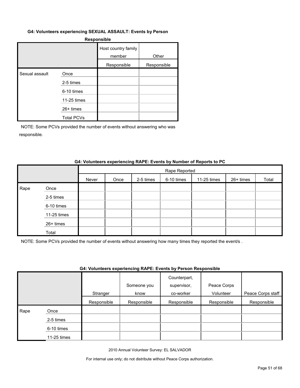#### **G4: Volunteers experiencing SEXUAL ASSAULT: Events by Person**

#### **Responsible**

|                |                   | Host country family<br>member | Other       |
|----------------|-------------------|-------------------------------|-------------|
|                |                   | Responsible                   | Responsible |
| Sexual assault | Once              |                               |             |
|                | 2-5 times         |                               |             |
|                | 6-10 times        |                               |             |
|                | 11-25 times       |                               |             |
|                | $26+$ times       |                               |             |
|                | <b>Total PCVs</b> |                               |             |

NOTE: Some PCVs provided the number of events without answering who was responsible.

#### **G4: Volunteers experiencing RAPE: Events by Number of Reports to PC**

|      |             |       | Rape Reported |           |            |             |           |       |
|------|-------------|-------|---------------|-----------|------------|-------------|-----------|-------|
|      |             | Never | Once          | 2-5 times | 6-10 times | 11-25 times | 26+ times | Total |
| Rape | Once        |       |               |           |            |             |           |       |
|      | 2-5 times   |       |               |           |            |             |           |       |
|      | 6-10 times  |       |               |           |            |             |           |       |
|      | 11-25 times |       |               |           |            |             |           |       |
|      | 26+ times   |       |               |           |            |             |           |       |
|      | Total       |       |               |           |            |             |           |       |

NOTE: Some PCVs provided the number of events without answering how many times they reported the event/s .

#### **G4: Volunteers experiencing RAPE: Events by Person Responsible**

|      |             | Stranger    | Someone you<br>know | Counterpart,<br>supervisor,<br>co-worker | Peace Corps<br>Volunteer | Peace Corps staff |
|------|-------------|-------------|---------------------|------------------------------------------|--------------------------|-------------------|
|      |             | Responsible | Responsible         | Responsible                              | Responsible              | Responsible       |
| Rape | Once        |             |                     |                                          |                          |                   |
|      | 2-5 times   |             |                     |                                          |                          |                   |
|      | 6-10 times  |             |                     |                                          |                          |                   |
|      | 11-25 times |             |                     |                                          |                          |                   |

2010 Annual Volunteer Survey: EL SALVADOR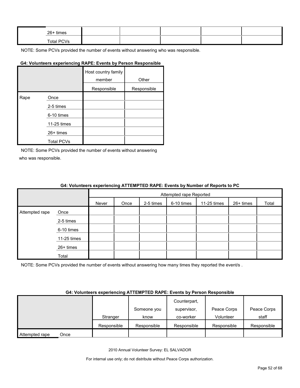| 26+ times  |  |  |  |
|------------|--|--|--|
| Total PCVs |  |  |  |

#### **G4: Volunteers experiencing RAPE: Events by Person Responsible**

|      |                   | Host country family<br>member | Other       |
|------|-------------------|-------------------------------|-------------|
|      |                   | Responsible                   | Responsible |
| Rape | Once              |                               |             |
|      | 2-5 times         |                               |             |
|      | 6-10 times        |                               |             |
|      | 11-25 times       |                               |             |
|      | $26+$ times       |                               |             |
|      | <b>Total PCVs</b> |                               |             |

NOTE: Some PCVs provided the number of events without answering who was responsible.

#### **G4: Volunteers experiencing ATTEMPTED RAPE: Events by Number of Reports to PC**

|                |             | Attempted rape Reported |      |           |            |             |           |       |
|----------------|-------------|-------------------------|------|-----------|------------|-------------|-----------|-------|
|                |             | Never                   | Once | 2-5 times | 6-10 times | 11-25 times | 26+ times | Total |
| Attempted rape | Once        |                         |      |           |            |             |           |       |
|                | 2-5 times   |                         |      |           |            |             |           |       |
|                | 6-10 times  |                         |      |           |            |             |           |       |
|                | 11-25 times |                         |      |           |            |             |           |       |
|                | 26+ times   |                         |      |           |            |             |           |       |
|                | Total       |                         |      |           |            |             |           |       |

NOTE: Some PCVs provided the number of events without answering how many times they reported the event/s.

#### **G4: Volunteers experiencing ATTEMPTED RAPE: Events by Person Responsible**

|                        |             |             | Counterpart, |             |             |
|------------------------|-------------|-------------|--------------|-------------|-------------|
|                        |             | Someone you | supervisor.  | Peace Corps | Peace Corps |
|                        | Stranger    | know        | co-worker    | Volunteer   | staff       |
|                        | Responsible | Responsible | Responsible  | Responsible | Responsible |
| Attempted rape<br>Once |             |             |              |             |             |

2010 Annual Volunteer Survey: EL SALVADOR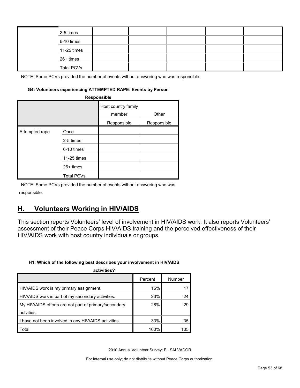|  | 2-5 times         |  |  |  |
|--|-------------------|--|--|--|
|  | 6-10 times        |  |  |  |
|  | 11-25 times       |  |  |  |
|  | 26+ times         |  |  |  |
|  | <b>Total PCVs</b> |  |  |  |

#### **G4: Volunteers experiencing ATTEMPTED RAPE: Events by Person**

| Responsible    |                   |                               |             |  |  |  |  |
|----------------|-------------------|-------------------------------|-------------|--|--|--|--|
|                |                   | Host country family<br>member | Other       |  |  |  |  |
|                |                   | Responsible                   | Responsible |  |  |  |  |
| Attempted rape | Once              |                               |             |  |  |  |  |
|                | 2-5 times         |                               |             |  |  |  |  |
|                | 6-10 times        |                               |             |  |  |  |  |
|                | 11-25 times       |                               |             |  |  |  |  |
|                | $26+$ times       |                               |             |  |  |  |  |
|                | <b>Total PCVs</b> |                               |             |  |  |  |  |

NOTE: Some PCVs provided the number of events without answering who was responsible.

## <span id="page-52-0"></span>**H. Volunteers Working in HIV/AIDS**

This section reports Volunteers' level of involvement in HIV/AIDS work. It also reports Volunteers' assessment of their Peace Corps HIV/AIDS training and the perceived effectiveness of their HIV/AIDS work with host country individuals or groups.

#### **H1: Which of the following best describes your involvement in HIV/AIDS**

| activities?                                           |         |        |
|-------------------------------------------------------|---------|--------|
|                                                       | Percent | Number |
| HIV/AIDS work is my primary assignment.               | 16%     |        |
| HIV/AIDS work is part of my secondary activities.     | 23%     | 24     |
| My HIV/AIDS efforts are not part of primary/secondary | 28%     | 29     |
| actvities.                                            |         |        |
| I have not been involved in any HIV/AIDS activities.  | 33%     | 35     |
| Total                                                 | 100%    | 105    |

2010 Annual Volunteer Survey: EL SALVADOR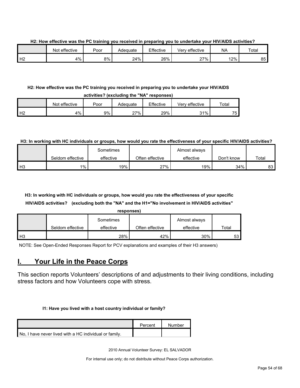**H2: How effective was the PC training you received in preparing you to undertake your HIV/AIDS activities?**

|    | Not effective | Poor | Adeɑuate | Effective | Very effective | <b>NA</b> | Total |
|----|---------------|------|----------|-----------|----------------|-----------|-------|
| Н2 | 4%            | 8%   | 24%      | 26%       | 27%            | 12%       | 85    |

#### **H2: How effective was the PC training you received in preparing you to undertake your HIV/AIDS activities? (excluding the "NA" responses)**

|                    | Not effective | Poor | Adeɑuate | Effective | Verv effective | $\tau$ otal |  |  |
|--------------------|---------------|------|----------|-----------|----------------|-------------|--|--|
| $H^{\sigma}$<br>╶╹ | 4%            | 9%   | 27%      | 29%       | 31%            | 75          |  |  |

#### **H3: In working with HC individuals or groups, how would you rate the effectiveness of your specific HIV/AIDS activities?**

|                |                  | Sometimes |                 | Almost always |            |       |
|----------------|------------------|-----------|-----------------|---------------|------------|-------|
|                | Seldom effective | effective | Often effective | effective     | Don't know | Total |
| H <sub>3</sub> | $1\%$            | 19%       | 27%             | 19%           | 34%        | 83    |

## **H3: In working with HC individuals or groups, how would you rate the effectiveness of your specific HIV/AIDS activities? (excluding both the "NA" and the H1="No involvement in HIV/AIDS activities"**

| re | :spons |  |
|----|--------|--|
|    |        |  |

|      |                  | Sometimes |                 | Almost always |       |
|------|------------------|-----------|-----------------|---------------|-------|
|      | Seldom effective | effective | Often effective | effective     | Total |
| l H3 |                  | 28%       | 42%             | 30%           | 53    |

NOTE: See Open-Ended Responses Report for PCV explanations and examples of their H3 answers)

## <span id="page-53-0"></span>**I. Your Life in the Peace Corps**

This section reports Volunteers' descriptions of and adjustments to their living conditions, including stress factors and how Volunteers cope with stress.

#### **I1: Have you lived with a host country individual or family?**

|                                                        | Percent | Number |
|--------------------------------------------------------|---------|--------|
| No, I have never lived with a HC individual or family. |         |        |

2010 Annual Volunteer Survey: EL SALVADOR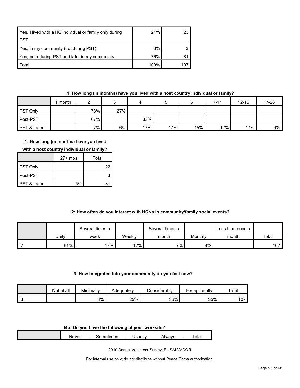| Yes, I lived with a HC individual or family only during | 21%  | 23 <sub>1</sub> |
|---------------------------------------------------------|------|-----------------|
| PST.                                                    |      |                 |
| Yes, in my community (not during PST).                  | 3%   |                 |
| Yes, both during PST and later in my community.         | 76%  |                 |
| <b>Total</b>                                            | 100% |                 |

#### **I1: How long (in months) have you lived with a host country individual or family?**

|                 | month |     |     | ↵   |     |     | $7 - 11$ | $12 - 16$ | 17-26 |
|-----------------|-------|-----|-----|-----|-----|-----|----------|-----------|-------|
| <b>PST Only</b> |       | 73% | 27% |     |     |     |          |           |       |
| Post-PST        |       | 67% |     | 33% |     |     |          |           |       |
| PST & Later     |       | 7%  | 6%  | 17% | 17% | 15% | 12%      | 11%       | 9%    |

#### **I1: How long (in months) have you lived**

|  | with a host country individual or family? |
|--|-------------------------------------------|
|--|-------------------------------------------|

|                        | $27+$ mos | Total |
|------------------------|-----------|-------|
| <b>PST Only</b>        |           | 22    |
| ∎Post-PST              |           |       |
| <b>PST &amp; Later</b> | 5%        |       |

#### **I2: How often do you interact with HCNs in community/family social events?**

|                   |       | Several times a | Several times a |       |         | Less than once a |       |
|-------------------|-------|-----------------|-----------------|-------|---------|------------------|-------|
|                   | Daily | week            | Weekly          | month | Monthly | month            | Total |
| $\overline{1}$ 12 | 61%   | $17\%$          | 12%             | 7%    | 4%      |                  | 107   |

#### **I3: How integrated into your community do you feel now?**

|                       | Not at all | Minimally | Adequatelv | Considerably | Exceptionally | Total |
|-----------------------|------------|-----------|------------|--------------|---------------|-------|
| $\overline{10}$<br>10 |            | 4%        | 25%        | 36%          | 35%           | 107   |

#### **I4a: Do you have the following at your worksite?**

| Never | mes<br>. | Jsuallv | Alwavs | $\overline{\phantom{0}}$<br>otal |
|-------|----------|---------|--------|----------------------------------|
|       |          |         |        |                                  |

2010 Annual Volunteer Survey: EL SALVADOR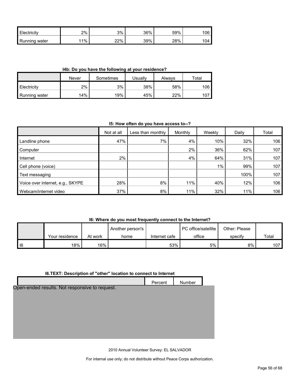| <b>Electricity</b>        | 2%    | 3%  | 36% | 59% | 106 |
|---------------------------|-------|-----|-----|-----|-----|
| <b>I</b> Running<br>water | $1\%$ | 22% | 39% | 28% | 104 |

**I4b: Do you have the following at your residence?**

|               | Never | Sometimes | Jsuallv | Alwavs | $\tau$ otal |  |
|---------------|-------|-----------|---------|--------|-------------|--|
| Electricity   | 2%    | 3%        | 38%     | 58%    | 106         |  |
| Running water | 14%   | 19%       | 45%     | 22%    | 107         |  |

#### **I5: How often do you have access to--?**

|                                  | Not at all | Less than monthly | Monthly | Weekly | Daily | Total |
|----------------------------------|------------|-------------------|---------|--------|-------|-------|
| Landline phone                   | 47%        | 7%                | 4%      | 10%    | 32%   | 106   |
| Computer                         |            |                   | 2%      | 36%    | 62%   | 107   |
| Internet                         | 2%         |                   | 4%      | 64%    | 31%   | 107   |
| Cell phone (voice)               |            |                   |         | 1%     | 99%   | 107   |
| Text messaging                   |            |                   |         |        | 100%  | 107   |
| Voice over internet, e.g., SKYPE | 28%        | 8%                | 11%     | 40%    | 12%   | 106   |
| Webcam/internet video            | 37%        | 8%                | 11%     | 32%    | 11%   | 106   |

#### **I6: Where do you most frequently connect to the Internet?**

|   |                |         | Another person's |               | <b>PC</b> office/satellite | Other: Please |                  |
|---|----------------|---------|------------------|---------------|----------------------------|---------------|------------------|
|   | Your residence | At work | home             | Internet cafe | office                     | specify       | Total            |
| 6 | 18%            | $16\%$  |                  | 53%           | 5%                         | 8%            | 107 <sub>l</sub> |

#### **I6.TEXT: Description of "other" location to connect to Internet**

|                                                | Percent | Number |  |
|------------------------------------------------|---------|--------|--|
| Open-ended results. Not responsive to request. |         |        |  |
|                                                |         |        |  |
|                                                |         |        |  |
|                                                |         |        |  |
|                                                |         |        |  |
|                                                |         |        |  |
|                                                |         |        |  |

2010 Annual Volunteer Survey: EL SALVADOR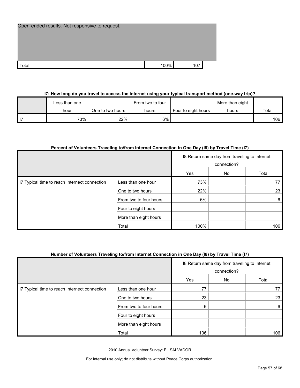| Open-ended results. Not responsive to request. |      |     |
|------------------------------------------------|------|-----|
|                                                |      |     |
|                                                |      |     |
|                                                |      |     |
|                                                |      |     |
| Total                                          | 100% | 107 |

#### **I7: How long do you travel to access the internet using your typical transport method (one-way trip)?**

| Less than one |                  | From two to four |                     | More than eight |       |
|---------------|------------------|------------------|---------------------|-----------------|-------|
| hour          | One to two hours | hours            | Four to eight hours | hours           | Total |
| 73%           | 22%              | 6%               |                     |                 | 106   |

#### **Percent of Volunteers Traveling to/from Internet Connection in One Day (I8) by Travel Time (I7)**

|                                               |                        | 18 Return same day from traveling to Internet<br>connection? |  |     |
|-----------------------------------------------|------------------------|--------------------------------------------------------------|--|-----|
|                                               |                        | Yes<br>No<br>Total                                           |  |     |
| I7 Typical time to reach Internect connection | Less than one hour     | 73%                                                          |  | 77  |
|                                               | One to two hours       | 22%                                                          |  | 23  |
|                                               | From two to four hours | 6%                                                           |  | 6   |
|                                               | Four to eight hours    |                                                              |  |     |
|                                               | More than eight hours  |                                                              |  |     |
|                                               | Total                  | 100%                                                         |  | 106 |

#### **Number of Volunteers Traveling to/from Internet Connection in One Day (I8) by Travel Time (I7)**

|                                               |                        | 18 Return same day from traveling to Internet<br>connection? |    |       |
|-----------------------------------------------|------------------------|--------------------------------------------------------------|----|-------|
|                                               |                        | Yes                                                          | No | Total |
| I7 Typical time to reach Internect connection | Less than one hour     | 77                                                           |    |       |
|                                               | One to two hours       | 23                                                           |    | 23    |
|                                               | From two to four hours | 6                                                            |    | 6     |
|                                               | Four to eight hours    |                                                              |    |       |
|                                               | More than eight hours  |                                                              |    |       |
|                                               | Total                  | 106                                                          |    | 106   |

2010 Annual Volunteer Survey: EL SALVADOR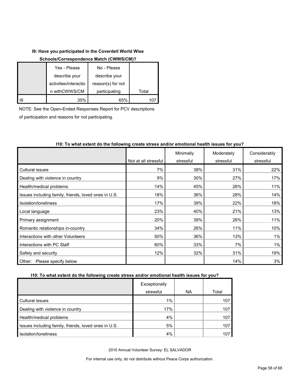#### **I9: Have you participated in the Coverdell World Wise**

#### **Schools/Correspondence Match (CWWS/CM)?**

|    | Yes - Please          | No - Please       |       |
|----|-----------------------|-------------------|-------|
|    | describe your         | describe your     |       |
|    | activities/interactio | reason(s) for not |       |
|    | n withCWWS/CM         | participating     | Total |
| 19 | 35%                   | 65%               |       |

NOTE: See the Open-Ended Responses Report for PCV descriptions of participation and reasons for not participating.

|                                                      |                      | Minimally | Moderately | Considerably |
|------------------------------------------------------|----------------------|-----------|------------|--------------|
|                                                      | Not at all stressful | stressful | stressful  | stressful    |
| Cultural issues                                      | 7%                   | 38%       | 31%        | 22%          |
| Dealing with violence in country                     | 9%                   | 30%       | 27%        | 17%          |
| Health/medical problems                              | 14%                  | 45%       | 26%        | 11%          |
| Issues including family, friends, loved ones in U.S. | 18%                  | 36%       | 28%        | 14%          |
| Isolation/Ioneliness                                 | 17%                  | 39%       | 22%        | 18%          |
| Local language                                       | 23%                  | 40%       | 21%        | 13%          |
| Primary assignment                                   | 20%                  | 39%       | 26%        | 11%          |
| Romantic relationships in-country                    | 34%                  | 26%       | 11%        | 10%          |
| Interactions with other Volunteers                   | 50%                  | 36%       | 13%        | 1%           |
| Interactions with PC Staff                           | 60%                  | 33%       | 7%         | 1%           |
| Safety and security                                  | 12%                  | 32%       | 31%        | 19%          |
| Please specify below<br>Other:                       |                      |           | 14%        | 3%           |

#### **I10: To what extent do the following create stress and/or emotional health issues for you?**

#### **I10: To what extent do the following create stress and/or emotional health issues for you?**

|                                                      | Exceptionally |           |       |
|------------------------------------------------------|---------------|-----------|-------|
|                                                      | stressful     | <b>NA</b> | Total |
| Cultural issues                                      | 1%            |           | 107   |
| Dealing with violence in country                     | 17%           |           | 107   |
| Health/medical problems                              | 4%            |           | 107   |
| Issues including family, friends, loved ones in U.S. | 5%            |           | 107   |
| Isolation/Ioneliness                                 | 4%            |           | 107   |

2010 Annual Volunteer Survey: EL SALVADOR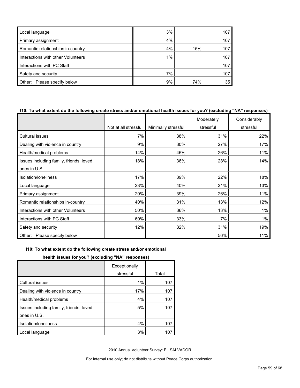| Local language                     | 3% |     | 107 |
|------------------------------------|----|-----|-----|
| Primary assignment                 | 4% |     | 107 |
| Romantic relationships in-country  | 4% | 15% | 107 |
| Interactions with other Volunteers | 1% |     | 107 |
| Interactions with PC Staff         |    |     | 107 |
| Safety and security                | 7% |     | 107 |
| Please specify below<br>Other:     | 9% | 74% | 35  |

#### **I10: To what extent do the following create stress and/or emotional health issues for you? (excluding "NA" responses)**

|                                         |                      |                     | Moderately | Considerably |
|-----------------------------------------|----------------------|---------------------|------------|--------------|
|                                         | Not at all stressful | Minimally stressful | stressful  | stressful    |
| Cultural issues                         | 7%                   | 38%                 | 31%        | 22%          |
| Dealing with violence in country        | 9%                   | 30%                 | 27%        | 17%          |
| Health/medical problems                 | 14%                  | 45%                 | 26%        | 11%          |
| Issues including family, friends, loved | 18%                  | 36%                 | 28%        | 14%          |
| ones in U.S.                            |                      |                     |            |              |
| Isolation/loneliness                    | 17%                  | 39%                 | 22%        | 18%          |
| Local language                          | 23%                  | 40%                 | 21%        | 13%          |
| Primary assignment                      | 20%                  | 39%                 | 26%        | 11%          |
| Romantic relationships in-country       | 40%                  | 31%                 | 13%        | 12%          |
| Interactions with other Volunteers      | 50%                  | 36%                 | 13%        | 1%           |
| Interactions with PC Staff              | 60%                  | 33%                 | 7%         | $1\%$        |
| Safety and security                     | 12%                  | 32%                 | 31%        | 19%          |
| Other: Please specify below             |                      |                     | 56%        | 11%          |

#### **I10: To what extent do the following create stress and/or emotional**

#### **health issues for you? (excluding "NA" responses)**

|                                         | Exceptionally |       |
|-----------------------------------------|---------------|-------|
|                                         | stressful     | Total |
| <b>Cultural issues</b>                  | 1%            | 107   |
| Dealing with violence in country        | 17%           | 107   |
| Health/medical problems                 | 4%            | 107   |
| Issues including family, friends, loved | 5%            | 107   |
| ones in U.S.                            |               |       |
| Isolation/loneliness                    | 4%            | 107   |
| ocal language.                          | 3%            | 107   |

2010 Annual Volunteer Survey: EL SALVADOR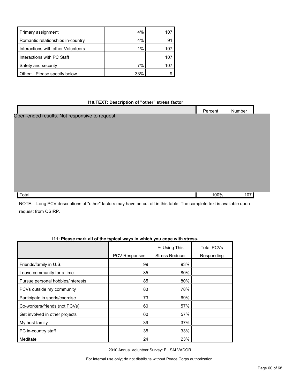| Primary assignment                 | $4\%$ | 107 |
|------------------------------------|-------|-----|
| Romantic relationships in-country  | $4\%$ | 9   |
| Interactions with other Volunteers | $1\%$ | 107 |
| Interactions with PC Staff         |       | 107 |
| Safety and security                | 7%    | 107 |
| Other: Please specify below        | 33%   |     |

#### **I10.TEXT: Description of "other" stress factor**

|                                                | Percent | Number |  |
|------------------------------------------------|---------|--------|--|
| Open-ended results. Not responsive to request. |         |        |  |
|                                                |         |        |  |
|                                                |         |        |  |
|                                                |         |        |  |
|                                                |         |        |  |
|                                                |         |        |  |
|                                                |         |        |  |
|                                                |         |        |  |
|                                                |         |        |  |
|                                                |         |        |  |
|                                                |         |        |  |
| Total                                          | 100%    | 107    |  |

NOTE: Long PCV descriptions of "other" factors may have be cut off in this table. The complete text is available upon request from OSIRP.

| wave mant an er are typical mayo in which you cope with outcool |                      |                                       |                                 |  |  |
|-----------------------------------------------------------------|----------------------|---------------------------------------|---------------------------------|--|--|
|                                                                 | <b>PCV Responses</b> | % Using This<br><b>Stress Reducer</b> | <b>Total PCVs</b><br>Responding |  |  |
| Friends/family in U.S.                                          | 99                   | 93%                                   |                                 |  |  |
| Leave community for a time                                      | 85                   | 80%                                   |                                 |  |  |
| Pursue personal hobbies/interests                               | 85                   | 80%                                   |                                 |  |  |
| PCVs outside my community                                       | 83                   | 78%                                   |                                 |  |  |
| Participate in sports/exercise                                  | 73                   | 69%                                   |                                 |  |  |
| Co-workers/friends (not PCVs)                                   | 60                   | 57%                                   |                                 |  |  |
| Get involved in other projects                                  | 60                   | 57%                                   |                                 |  |  |
| My host family                                                  | 39                   | 37%                                   |                                 |  |  |
| PC in-country staff                                             | 35                   | 33%                                   |                                 |  |  |
| Meditate                                                        | 24                   | 23%                                   |                                 |  |  |

#### **I11: Please mark all of the typical ways in which you cope with stress.**

2010 Annual Volunteer Survey: EL SALVADOR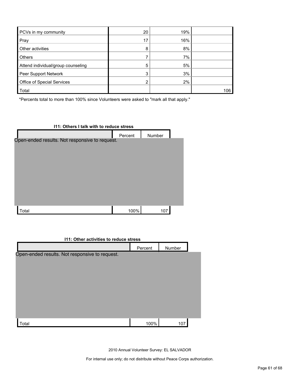| PCVs in my community               | 20 | 19% |     |
|------------------------------------|----|-----|-----|
| Pray                               | 17 | 16% |     |
| Other activities                   | 8  | 8%  |     |
| <b>Others</b>                      |    | 7%  |     |
| Attend individual/group counseling | 5  | 5%  |     |
| Peer Support Network               | 3  | 3%  |     |
| Office of Special Services         | ົ  | 2%  |     |
| Total                              |    |     | 106 |

\*Percents total to more than 100% since Volunteers were asked to "mark all that apply."

| 111: Others I talk with to reduce stress       |         |        |  |  |  |
|------------------------------------------------|---------|--------|--|--|--|
|                                                | Percent | Number |  |  |  |
| Open-ended results. Not responsive to request. |         |        |  |  |  |
|                                                |         |        |  |  |  |
|                                                |         |        |  |  |  |
|                                                |         |        |  |  |  |
|                                                |         |        |  |  |  |
|                                                |         |        |  |  |  |
|                                                |         |        |  |  |  |
|                                                |         |        |  |  |  |
|                                                |         |        |  |  |  |
| Total                                          | 100%    | 107    |  |  |  |

| 111: Other activities to reduce stress         |         |        |  |  |  |
|------------------------------------------------|---------|--------|--|--|--|
|                                                | Percent | Number |  |  |  |
| Open-ended results. Not responsive to request. |         |        |  |  |  |
| Total                                          | 100%    | 107    |  |  |  |

2010 Annual Volunteer Survey: EL SALVADOR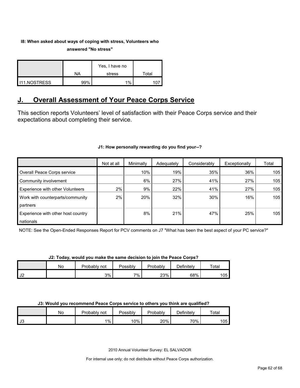## **I8: When asked about ways of coping with stress, Volunteers who**

**answered "No stress"** 

|                     |     | Yes, I have no |       |
|---------------------|-----|----------------|-------|
|                     | NA  | stress         | Total |
| <b>I11.NOSTRESS</b> | 99% | 1%             |       |

## <span id="page-61-0"></span>**J. Overall Assessment of Your Peace Corps Service**

This section reports Volunteers' level of satisfaction with their Peace Corps service and their expectations about completing their service.

#### **J1: How personally rewarding do you find your--?**

|                                    | Not at all | Minimally | Adequately | Considerably | Exceptionally | Total |
|------------------------------------|------------|-----------|------------|--------------|---------------|-------|
| Overall Peace Corps service        |            | 10%       | 19%        | 35%          | 36%           | 105   |
| Community involvement              |            | 6%        | 27%        | 41%          | 27%           | 105   |
| Experience with other Volunteers   | 2%         | 9%        | 22%        | 41%          | 27%           | 105   |
| Work with counterparts/community   | 2%         | 20%       | 32%        | 30%          | 16%           | 105   |
| partners                           |            |           |            |              |               |       |
| Experience with other host country |            | 8%        | 21%        | 47%          | 25%           | 105   |
| nationals                          |            |           |            |              |               |       |

NOTE: See the Open-Ended Responses Report for PCV comments on J7 "What has been the best aspect of your PC service?"

#### **J2: Today, would you make the same decision to join the Peace Corps?**

|            | No | Probably.<br>not | Possibly | Probably | Definitely | $\tau$ otal |
|------------|----|------------------|----------|----------|------------|-------------|
| 410<br>∟ ا |    | 3%               | 7%       | 23%      | 68%        | 105         |

#### **J3: Would you recommend Peace Corps service to others you think are qualified?**

|                       | No | Probably not | Possibly | Probably | Definitelv | Total |
|-----------------------|----|--------------|----------|----------|------------|-------|
| $\mathsf{I}$<br>- ს ა |    | $1\%$        | 10%      | 20%      | 70%        | 105   |

2010 Annual Volunteer Survey: EL SALVADOR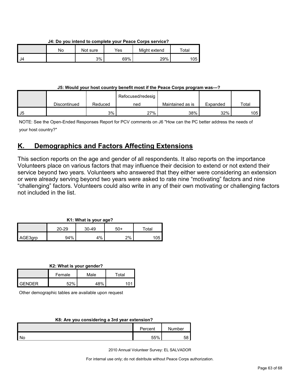**J4: Do you intend to complete your Peace Corps service?**

|    | No | Not sure | $\mathsf{v}_{\mathsf{es}}$ | Might extend | ™otal |
|----|----|----------|----------------------------|--------------|-------|
| J4 |    | 3%       | 69%                        | 29%          | 105   |

**J5: Would your host country benefit most if the Peace Corps program was---?**

|    |              |         | Refocused/redesig |                  |          |       |
|----|--------------|---------|-------------------|------------------|----------|-------|
|    | Discontinued | Reduced | ned               | Maintained as is | Expanded | Total |
| J5 |              | 3%      | 27%               | 38%              | 32%      | 105   |

NOTE: See the Open-Ended Responses Report for PCV comments on J6 "How can the PC better address the needs of your host country?"

## <span id="page-62-0"></span>**K. Demographics and Factors Affecting Extensions**

This section reports on the age and gender of all respondents. It also reports on the importance Volunteers place on various factors that may influence their decision to extend or not extend their service beyond two years. Volunteers who answered that they either were considering an extension or were already serving beyond two years were asked to rate nine "motivating" factors and nine "challenging" factors. Volunteers could also write in any of their own motivating or challenging factors not included in the list.

| K1: What is your age? |           |         |     |       |  |
|-----------------------|-----------|---------|-----|-------|--|
|                       | $20 - 29$ | $30-49$ | 50+ | Total |  |
| AGE3qrp               | 94%       | 4%      | 2%  | 105   |  |

**K2: What is your gender?**

|               | Female | Male | $\tau$ otal |  |
|---------------|--------|------|-------------|--|
| <b>GENDER</b> | 52%    | 48%  | 101         |  |

Other demographic tables are available upon request

#### **K8: Are you considering a 3rd year extension?**

|           | Percent | Number |
|-----------|---------|--------|
| <b>No</b> | 55%     | 58     |

2010 Annual Volunteer Survey: EL SALVADOR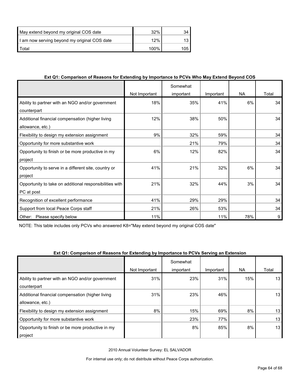| May extend beyond my original COS date       | 32%  |     |
|----------------------------------------------|------|-----|
| I am now serving beyond my original COS date | 12%  |     |
| l Total                                      | 100% | 105 |

#### **Ext Q1: Comparison of Reasons for Extending by Importance to PCVs Who May Extend Beyond COS**

|                                                         |               | Somewhat  |           |           |       |
|---------------------------------------------------------|---------------|-----------|-----------|-----------|-------|
|                                                         | Not Important | important | Important | <b>NA</b> | Total |
| Ability to partner with an NGO and/or government        | 18%           | 35%       | 41%       | 6%        | 34    |
| counterpart                                             |               |           |           |           |       |
| Additional financial compensation (higher living        | 12%           | 38%       | 50%       |           | 34    |
| allowance, etc.)                                        |               |           |           |           |       |
| Flexibility to design my extension assignment           | 9%            | 32%       | 59%       |           | 34    |
| Opportunity for more substantive work                   |               | 21%       | 79%       |           | 34    |
| Opportunity to finish or be more productive in my       | 6%            | 12%       | 82%       |           | 34    |
| project                                                 |               |           |           |           |       |
| Opportunity to serve in a different site, country or    | 41%           | 21%       | 32%       | 6%        | 34    |
| project                                                 |               |           |           |           |       |
| Opportunity to take on additional responsibilities with | 21%           | 32%       | 44%       | 3%        | 34    |
| PC at post                                              |               |           |           |           |       |
| Recognition of excellent performance                    | 41%           | 29%       | 29%       |           | 34    |
| Support from local Peace Corps staff                    | 21%           | 26%       | 53%       |           | 34    |
| Other:<br>Please specify below                          | 11%           |           | 11%       | 78%       | 9     |

NOTE: This table includes only PCVs who answered K8="May extend beyond my original COS date"

#### **Ext Q1: Comparison of Reasons for Extending by Importance to PCVs Serving an Extension**

|                                                   |               | Somewhat  |           |     |                 |
|---------------------------------------------------|---------------|-----------|-----------|-----|-----------------|
|                                                   | Not Important | important | Important | NA. | Total           |
| Ability to partner with an NGO and/or government  | 31%           | 23%       | 31%       | 15% | 13              |
| counterpart                                       |               |           |           |     |                 |
| Additional financial compensation (higher living  | 31%           | 23%       | 46%       |     | 13 <sub>l</sub> |
| allowance, etc.)                                  |               |           |           |     |                 |
| Flexibility to design my extension assignment     | 8%            | 15%       | 69%       | 8%  | 13              |
| Opportunity for more substantive work             |               | 23%       | 77%       |     | 13              |
| Opportunity to finish or be more productive in my |               | 8%        | 85%       | 8%  | 13              |
| project                                           |               |           |           |     |                 |

2010 Annual Volunteer Survey: EL SALVADOR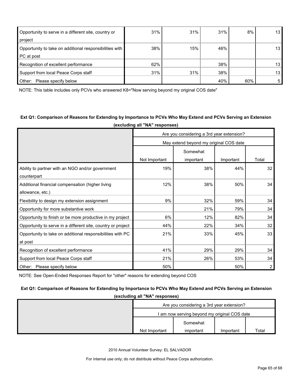| Opportunity to serve in a different site, country or<br>project | 31% | 31% | 31% | 8%  | 13             |
|-----------------------------------------------------------------|-----|-----|-----|-----|----------------|
|                                                                 |     |     |     |     |                |
| Opportunity to take on additional responsibilities with         | 38% | 15% | 46% |     | 13             |
| PC at post                                                      |     |     |     |     |                |
| Recognition of excellent performance                            | 62% |     | 38% |     | 13             |
| Support from local Peace Corps staff                            | 31% | 31% | 38% |     | 13             |
| Other:<br>Please specify below                                  |     |     | 40% | 60% | 5 <sub>1</sub> |

NOTE: This table includes only PCVs who answered K8="Now serving beyond my original COS date"

#### **Ext Q1: Comparison of Reasons for Extending by Importance to PCVs Who May Extend and PCVs Serving an Extension (excluding all "NA" responses)**

|                                                              | Are you considering a 3rd year extension? |                                        |           |       |  |  |  |
|--------------------------------------------------------------|-------------------------------------------|----------------------------------------|-----------|-------|--|--|--|
|                                                              |                                           | May extend beyond my original COS date |           |       |  |  |  |
|                                                              | Somewhat                                  |                                        |           |       |  |  |  |
|                                                              | Not Important                             | important                              | Important | Total |  |  |  |
| Ability to partner with an NGO and/or government             | 19%                                       | 38%                                    | 44%       | 32    |  |  |  |
| counterpart                                                  |                                           |                                        |           |       |  |  |  |
| Additional financial compensation (higher living             | 12%                                       | 38%                                    | 50%       | 34    |  |  |  |
| allowance, etc.)                                             |                                           |                                        |           |       |  |  |  |
| Flexibility to design my extension assignment                | 9%                                        | 32%                                    | 59%       | 34    |  |  |  |
| Opportunity for more substantive work                        |                                           | 21%                                    | 79%       | 34    |  |  |  |
| Opportunity to finish or be more productive in my project    | 6%                                        | 12%                                    | 82%       | 34    |  |  |  |
| Opportunity to serve in a different site, country or project | 44%                                       | 22%                                    | 34%       | 32    |  |  |  |
| Opportunity to take on additional responsibilities with PC   | 21%                                       | 33%                                    | 45%       | 33    |  |  |  |
| at post                                                      |                                           |                                        |           |       |  |  |  |
| Recognition of excellent performance                         | 41%                                       | 29%                                    | 29%       | 34    |  |  |  |
| Support from local Peace Corps staff                         | 21%                                       | 26%                                    | 53%       | 34    |  |  |  |
| Other: Please specify below                                  | 50%                                       |                                        | 50%       | 2     |  |  |  |

NOTE: See Open-Ended Responses Report for "other" reasons for extending beyond COS

## **Ext Q1: Comparison of Reasons for Extending by Importance to PCVs Who May Extend and PCVs Serving an Extension**

**(excluding all "NA" responses)**

|                                              | Are you considering a 3rd year extension? |           |       |  |  |  |
|----------------------------------------------|-------------------------------------------|-----------|-------|--|--|--|
| I am now serving beyond my original COS date |                                           |           |       |  |  |  |
|                                              | Somewhat                                  |           |       |  |  |  |
| Not Important                                | important                                 | Important | Total |  |  |  |

2010 Annual Volunteer Survey: EL SALVADOR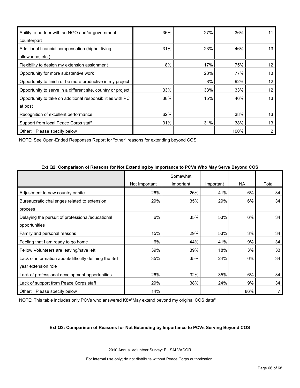| Ability to partner with an NGO and/or government             | 36% | 27% | 36%  | 11 |
|--------------------------------------------------------------|-----|-----|------|----|
| counterpart                                                  |     |     |      |    |
| Additional financial compensation (higher living             | 31% | 23% | 46%  | 13 |
| allowance, etc.)                                             |     |     |      |    |
| Flexibility to design my extension assignment                | 8%  | 17% | 75%  | 12 |
| Opportunity for more substantive work                        |     | 23% | 77%  | 13 |
| Opportunity to finish or be more productive in my project    |     | 8%  | 92%  | 12 |
| Opportunity to serve in a different site, country or project | 33% | 33% | 33%  | 12 |
| Opportunity to take on additional responsibilities with PC   | 38% | 15% | 46%  | 13 |
| at post                                                      |     |     |      |    |
| Recognition of excellent performance                         | 62% |     | 38%  | 13 |
| Support from local Peace Corps staff                         | 31% | 31% | 38%  | 13 |
| Other:<br>Please specify below                               |     |     | 100% | 2  |

NOTE: See Open-Ended Responses Report for "other" reasons for extending beyond COS

| $\sim$ . The state of the contract of the contract of the contract of the contract of the contract of $\sim$ . The contract of the contract of the contract of the contract of the contract of the contract of the contract of th |               | Somewhat  |           |           |       |
|-----------------------------------------------------------------------------------------------------------------------------------------------------------------------------------------------------------------------------------|---------------|-----------|-----------|-----------|-------|
|                                                                                                                                                                                                                                   | Not Important | important | Important | <b>NA</b> | Total |
| Adjustment to new country or site                                                                                                                                                                                                 | 26%           | 26%       | 41%       | 6%        | 34    |
| Bureaucratic challenges related to extension                                                                                                                                                                                      | 29%           | 35%       | 29%       | 6%        | 34    |
| process                                                                                                                                                                                                                           |               |           |           |           |       |
| Delaying the pursuit of professional/educational                                                                                                                                                                                  | 6%            | 35%       | 53%       | 6%        | 34    |
| opportunities                                                                                                                                                                                                                     |               |           |           |           |       |
| Family and personal reasons                                                                                                                                                                                                       | 15%           | 29%       | 53%       | 3%        | 34    |
| Feeling that I am ready to go home                                                                                                                                                                                                | 6%            | 44%       | 41%       | 9%        | 34    |
| Fellow Volunteers are leaving/have left                                                                                                                                                                                           | 39%           | 39%       | 18%       | 3%        | 33    |
| Lack of information about/difficulty defining the 3rd                                                                                                                                                                             | 35%           | 35%       | 24%       | 6%        | 34    |
| year extension role                                                                                                                                                                                                               |               |           |           |           |       |
| Lack of professional development opportunities                                                                                                                                                                                    | 26%           | 32%       | 35%       | 6%        | 34    |
| Lack of support from Peace Corps staff                                                                                                                                                                                            | 29%           | 38%       | 24%       | 9%        | 34    |
| Other: Please specify below                                                                                                                                                                                                       | 14%           |           |           | 86%       | 7     |

**Ext Q2: Comparison of Reasons for Not Extending by Importance to PCVs Who May Serve Beyond COS**

NOTE: This table includes only PCVs who answered K8="May extend beyond my original COS date"

#### **Ext Q2: Comparison of Reasons for Not Extending by Importance to PCVs Serving Beyond COS**

2010 Annual Volunteer Survey: EL SALVADOR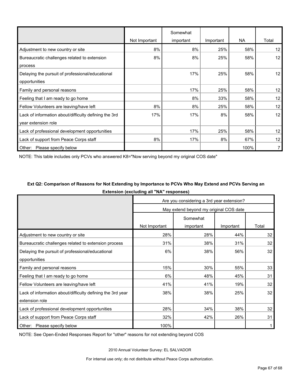|                                                       | Not Important | Somewhat<br>important | Important | NA   | Total |
|-------------------------------------------------------|---------------|-----------------------|-----------|------|-------|
| Adjustment to new country or site                     | 8%            | 8%                    | 25%       | 58%  | 12    |
| Bureaucratic challenges related to extension          | 8%            | 8%                    | 25%       | 58%  | 12    |
| process                                               |               |                       |           |      |       |
| Delaying the pursuit of professional/educational      |               | 17%                   | 25%       | 58%  | 12    |
| opportunities                                         |               |                       |           |      |       |
| Family and personal reasons                           |               | 17%                   | 25%       | 58%  | 12    |
| Feeling that I am ready to go home                    |               | 8%                    | 33%       | 58%  | 12    |
| Fellow Volunteers are leaving/have left               | 8%            | 8%                    | 25%       | 58%  | 12    |
| Lack of information about/difficulty defining the 3rd | 17%           | 17%                   | 8%        | 58%  | 12    |
| year extension role                                   |               |                       |           |      |       |
| Lack of professional development opportunities        |               | 17%                   | 25%       | 58%  | 12    |
| Lack of support from Peace Corps staff                | 8%            | 17%                   | 8%        | 67%  | 12    |
| Other: Please specify below                           |               |                       |           | 100% |       |

NOTE: This table includes only PCVs who answered K8="Now serving beyond my original COS date"

## **Ext Q2: Comparison of Reasons for Not Extending by Importance to PCVs Who May Extend and PCVs Serving an Extension (excluding all "NA" responses)**

|                                                            | Are you considering a 3rd year extension? |                                        |           |       |  |  |
|------------------------------------------------------------|-------------------------------------------|----------------------------------------|-----------|-------|--|--|
|                                                            |                                           | May extend beyond my original COS date |           |       |  |  |
|                                                            | Somewhat                                  |                                        |           |       |  |  |
|                                                            | Not Important                             | important                              | Important | Total |  |  |
| Adjustment to new country or site                          | 28%                                       | 28%                                    | 44%       | 32    |  |  |
| Bureaucratic challenges related to extension process       | 31%                                       | 38%                                    | 31%       | 32    |  |  |
| Delaying the pursuit of professional/educational           | 6%                                        | 38%                                    | 56%       | 32    |  |  |
| opportunities                                              |                                           |                                        |           |       |  |  |
| Family and personal reasons                                | 15%                                       | 30%                                    | 55%       | 33    |  |  |
| Feeling that I am ready to go home                         | 6%                                        | 48%                                    | 45%       | 31    |  |  |
| Fellow Volunteers are leaving/have left                    | 41%                                       | 41%                                    | 19%       | 32    |  |  |
| Lack of information about/difficulty defining the 3rd year | 38%                                       | 38%                                    | 25%       | 32    |  |  |
| extension role                                             |                                           |                                        |           |       |  |  |
| Lack of professional development opportunities             | 28%                                       | 34%                                    | 38%       | 32    |  |  |
| Lack of support from Peace Corps staff                     | 32%                                       | 42%                                    | 26%       | 31    |  |  |
| Other: Please specify below                                | 100%                                      |                                        |           | 1     |  |  |

NOTE: See Open-Ended Responses Report for "other" reasons for not extending beyond COS

2010 Annual Volunteer Survey: EL SALVADOR